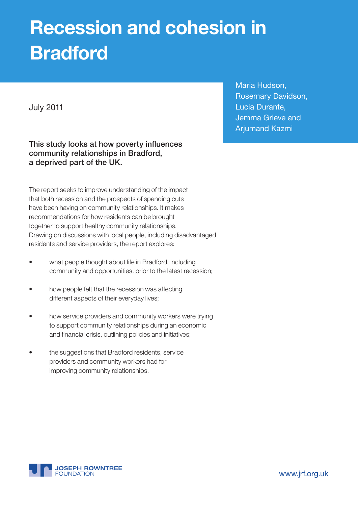# Recession and cohesion in Bradford

July 2011

This study looks at how poverty influences community relationships in Bradford, a deprived part of the UK.

The report seeks to improve understanding of the impact that both recession and the prospects of spending cuts have been having on community relationships. It makes recommendations for how residents can be brought together to support healthy community relationships. Drawing on discussions with local people, including disadvantaged residents and service providers, the report explores:

- what people thought about life in Bradford, including community and opportunities, prior to the latest recession;
- how people felt that the recession was affecting different aspects of their everyday lives;
- how service providers and community workers were trying to support community relationships during an economic and financial crisis, outlining policies and initiatives;
- the suggestions that Bradford residents, service providers and community workers had for improving community relationships.

Maria Hudson, Rosemary Davidson, Lucia Durante, Jemma Grieve and Arjumand Kazmi



www.jrf.org.uk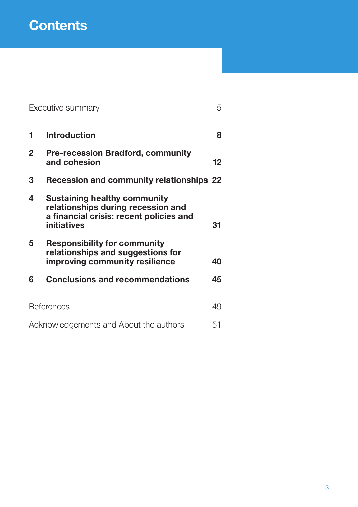# **Contents**

|                                        | Executive summary                                                                                                                   | 5  |
|----------------------------------------|-------------------------------------------------------------------------------------------------------------------------------------|----|
| 1                                      | <b>Introduction</b>                                                                                                                 | 8  |
| $\overline{2}$                         | <b>Pre-recession Bradford, community</b><br>and cohesion                                                                            | 12 |
| 3                                      | <b>Recession and community relationships 22</b>                                                                                     |    |
| 4                                      | <b>Sustaining healthy community</b><br>relationships during recession and<br>a financial crisis: recent policies and<br>initiatives | 31 |
| 5                                      | <b>Responsibility for community</b><br>relationships and suggestions for<br>improving community resilience                          | 40 |
| 6                                      | <b>Conclusions and recommendations</b>                                                                                              | 45 |
| References                             |                                                                                                                                     | 49 |
| Acknowledgements and About the authors |                                                                                                                                     | 51 |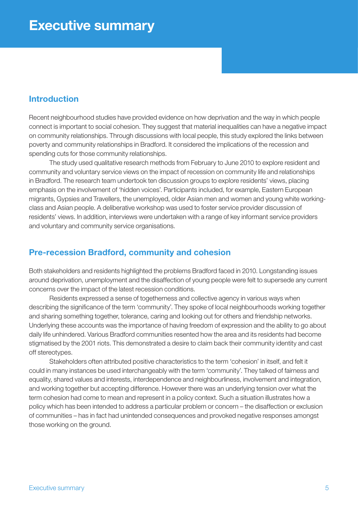#### Introduction

Recent neighbourhood studies have provided evidence on how deprivation and the way in which people connect is important to social cohesion. They suggest that material inequalities can have a negative impact on community relationships. Through discussions with local people, this study explored the links between poverty and community relationships in Bradford. It considered the implications of the recession and spending cuts for those community relationships.

The study used qualitative research methods from February to June 2010 to explore resident and community and voluntary service views on the impact of recession on community life and relationships in Bradford. The research team undertook ten discussion groups to explore residents' views, placing emphasis on the involvement of 'hidden voices'. Participants included, for example, Eastern European migrants, Gypsies and Travellers, the unemployed, older Asian men and women and young white workingclass and Asian people. A deliberative workshop was used to foster service provider discussion of residents' views. In addition, interviews were undertaken with a range of key informant service providers and voluntary and community service organisations.

# Pre-recession Bradford, community and cohesion

Both stakeholders and residents highlighted the problems Bradford faced in 2010. Longstanding issues around deprivation, unemployment and the disaffection of young people were felt to supersede any current concerns over the impact of the latest recession conditions.

Residents expressed a sense of togetherness and collective agency in various ways when describing the significance of the term 'community'. They spoke of local neighbourhoods working together and sharing something together, tolerance, caring and looking out for others and friendship networks. Underlying these accounts was the importance of having freedom of expression and the ability to go about daily life unhindered. Various Bradford communities resented how the area and its residents had become stigmatised by the 2001 riots. This demonstrated a desire to claim back their community identity and cast off stereotypes.

Stakeholders often attributed positive characteristics to the term 'cohesion' in itself, and felt it could in many instances be used interchangeably with the term 'community'. They talked of fairness and equality, shared values and interests, interdependence and neighbourliness, involvement and integration, and working together but accepting difference. However there was an underlying tension over what the term cohesion had come to mean and represent in a policy context. Such a situation illustrates how a policy which has been intended to address a particular problem or concern – the disaffection or exclusion of communities – has in fact had unintended consequences and provoked negative responses amongst those working on the ground.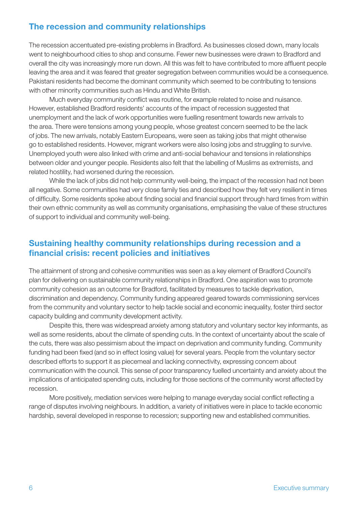# The recession and community relationships

The recession accentuated pre-existing problems in Bradford. As businesses closed down, many locals went to neighbourhood cities to shop and consume. Fewer new businesses were drawn to Bradford and overall the city was increasingly more run down. All this was felt to have contributed to more affluent people leaving the area and it was feared that greater segregation between communities would be a consequence. Pakistani residents had become the dominant community which seemed to be contributing to tensions with other minority communities such as Hindu and White British.

Much everyday community conflict was routine, for example related to noise and nuisance. However, established Bradford residents' accounts of the impact of recession suggested that unemployment and the lack of work opportunities were fuelling resentment towards new arrivals to the area. There were tensions among young people, whose greatest concern seemed to be the lack of jobs. The new arrivals, notably Eastern Europeans, were seen as taking jobs that might otherwise go to established residents. However, migrant workers were also losing jobs and struggling to survive. Unemployed youth were also linked with crime and anti-social behaviour and tensions in relationships between older and younger people. Residents also felt that the labelling of Muslims as extremists, and related hostility, had worsened during the recession.

While the lack of jobs did not help community well-being, the impact of the recession had not been all negative. Some communities had very close family ties and described how they felt very resilient in times of difficulty. Some residents spoke about finding social and financial support through hard times from within their own ethnic community as well as community organisations, emphasising the value of these structures of support to individual and community well-being.

# Sustaining healthy community relationships during recession and a financial crisis: recent policies and initiatives

The attainment of strong and cohesive communities was seen as a key element of Bradford Council's plan for delivering on sustainable community relationships in Bradford. One aspiration was to promote community cohesion as an outcome for Bradford, facilitated by measures to tackle deprivation, discrimination and dependency. Community funding appeared geared towards commissioning services from the community and voluntary sector to help tackle social and economic inequality, foster third sector capacity building and community development activity.

Despite this, there was widespread anxiety among statutory and voluntary sector key informants, as well as some residents, about the climate of spending cuts. In the context of uncertainty about the scale of the cuts, there was also pessimism about the impact on deprivation and community funding. Community funding had been fixed (and so in effect losing value) for several years. People from the voluntary sector described efforts to support it as piecemeal and lacking connectivity, expressing concern about communication with the council. This sense of poor transparency fuelled uncertainty and anxiety about the implications of anticipated spending cuts, including for those sections of the community worst affected by recession.

More positively, mediation services were helping to manage everyday social conflict reflecting a range of disputes involving neighbours. In addition, a variety of initiatives were in place to tackle economic hardship, several developed in response to recession; supporting new and established communities.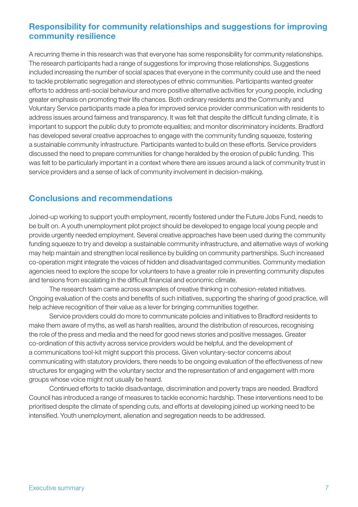# Responsibility for community relationships and suggestions for improving community resilience

A recurring theme in this research was that everyone has some responsibility for community relationships. The research participants had a range of suggestions for improving those relationships. Suggestions included increasing the number of social spaces that everyone in the community could use and the need to tackle problematic segregation and stereotypes of ethnic communities. Participants wanted greater efforts to address anti-social behaviour and more positive alternative activities for young people, including greater emphasis on promoting their life chances. Both ordinary residents and the Community and Voluntary Service participants made a plea for improved service provider communication with residents to address issues around fairness and transparency. It was felt that despite the difficult funding climate, it is important to support the public duty to promote equalities; and monitor discriminatory incidents. Bradford has developed several creative approaches to engage with the community funding squeeze, fostering a sustainable community infrastructure. Participants wanted to build on these efforts. Service providers discussed the need to prepare communities for change heralded by the erosion of public funding. This was felt to be particularly important in a context where there are issues around a lack of community trust in service providers and a sense of lack of community involvement in decision-making.

# Conclusions and recommendations

Joined-up working to support youth employment, recently fostered under the Future Jobs Fund, needs to be built on. A youth unemployment pilot project should be developed to engage local young people and provide urgently needed employment. Several creative approaches have been used during the community funding squeeze to try and develop a sustainable community infrastructure, and alternative ways of working may help maintain and strengthen local resilience by building on community partnerships. Such increased co-operation might integrate the voices of hidden and disadvantaged communities. Community mediation agencies need to explore the scope for volunteers to have a greater role in preventing community disputes and tensions from escalating in the difficult financial and economic climate.

The research team came across examples of creative thinking in cohesion-related initiatives. Ongoing evaluation of the costs and benefits of such initiatives, supporting the sharing of good practice, will help achieve recognition of their value as a lever for bringing communities together.

Service providers could do more to communicate policies and initiatives to Bradford residents to make them aware of myths, as well as harsh realities, around the distribution of resources, recognising the role of the press and media and the need for good news stories and positive messages. Greater co-ordination of this activity across service providers would be helpful, and the development of a communications tool-kit might support this process. Given voluntary-sector concerns about communicating with statutory providers, there needs to be ongoing evaluation of the effectiveness of new structures for engaging with the voluntary sector and the representation of and engagement with more groups whose voice might not usually be heard.

Continued efforts to tackle disadvantage, discrimination and poverty traps are needed. Bradford Council has introduced a range of measures to tackle economic hardship. These interventions need to be prioritised despite the climate of spending cuts, and efforts at developing joined up working need to be intensified. Youth unemployment, alienation and segregation needs to be addressed.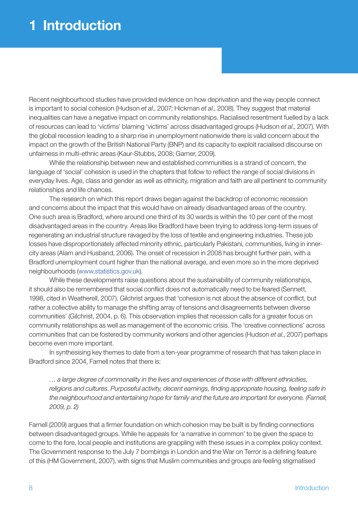# 1 Introduction

Recent neighbourhood studies have provided evidence on how deprivation and the way people connect is important to social cohesion (Hudson *et al*., 2007; Hickman *et al*., 2008). They suggest that material inequalities can have a negative impact on community relationships. Racialised resentment fuelled by a lack of resources can lead to 'victims' blaming 'victims' across disadvantaged groups (Hudson *et al*., 2007). With the global recession leading to a sharp rise in unemployment nationwide there is valid concern about the impact on the growth of the British National Party (BNP) and its capacity to exploit racialised discourse on unfairness in multi-ethnic areas (Kaur-Stubbs, 2008; Garner, 2009).

While the relationship between new and established communities is a strand of concern, the language of 'social' cohesion is used in the chapters that follow to reflect the range of social divisions in everyday lives. Age, class and gender as well as ethnicity, migration and faith are all pertinent to community relationships and life chances.

The research on which this report draws began against the backdrop of economic recession and concerns about the impact that this would have on already disadvantaged areas of the country. One such area is Bradford, where around one third of its 30 wards is within the 10 per cent of the most disadvantaged areas in the country. Areas like Bradford have been trying to address long-term issues of regenerating an industrial structure ravaged by the loss of textile and engineering industries. These job losses have disproportionately affected minority ethnic, particularly Pakistani, communities, living in innercity areas (Alam and Husband, 2006). The onset of recession in 2008 has brought further pain, with a Bradford unemployment count higher than the national average, and even more so in the more deprived neighbourhoods (www.statistics.gov.uk).

While these developments raise questions about the sustainability of community relationships, it should also be remembered that social conflict does not automatically need to be feared (Sennett, 1998, cited in Weatherell, 2007). Gilchrist argues that 'cohesion is not about the absence of conflict, but rather a collective ability to manage the shifting array of tensions and disagreements between diverse communities' (Gilchrist, 2004, p. 6). This observation implies that recession calls for a greater focus on community relationships as well as management of the economic crisis. The 'creative connections' across communities that can be fostered by community workers and other agencies (Hudson *et al*., 2007) perhaps become even more important.

In synthesising key themes to date from a ten-year programme of research that has taken place in Bradford since 2004, Farnell notes that there is:

*… a large degree of commonality in the lives and experiences of those with different ethnicities, religions and cultures. Purposeful activity, decent earnings, finding appropriate housing, feeling safe in the neighbourhood and entertaining hope for family and the future are important for everyone. (Farnell, 2009, p. 2)*

Farnell (2009) argues that a firmer foundation on which cohesion may be built is by finding connections between disadvantaged groups. While he appeals for 'a narrative in common' to be given the space to come to the fore, local people and institutions are grappling with these issues in a complex policy context. The Government response to the July 7 bombings in London and the War on Terror is a defining feature of this (HM Government, 2007), with signs that Muslim communities and groups are feeling stigmatised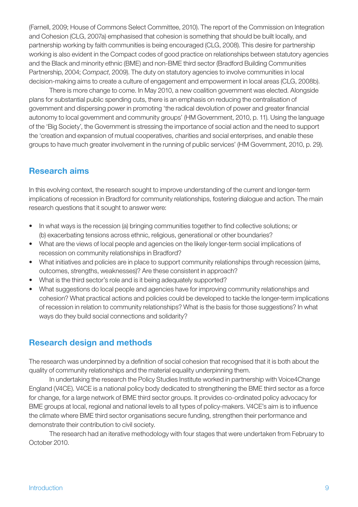(Farnell, 2009; House of Commons Select Committee, 2010). The report of the Commission on Integration and Cohesion (CLG, 2007a) emphasised that cohesion is something that should be built locally, and partnership working by faith communities is being encouraged (CLG, 2008). This desire for partnership working is also evident in the Compact codes of good practice on relationships between statutory agencies and the Black and minority ethnic (BME) and non-BME third sector (Bradford Building Communities Partnership, 2004; *Compact*, 2009). The duty on statutory agencies to involve communities in local decision-making aims to create a culture of engagement and empowerment in local areas (CLG, 2008b).

There is more change to come. In May 2010, a new coalition government was elected. Alongside plans for substantial public spending cuts, there is an emphasis on reducing the centralisation of government and dispersing power in promoting 'the radical devolution of power and greater financial autonomy to local government and community groups' (HM Government, 2010, p. 11). Using the language of the 'Big Society', the Government is stressing the importance of social action and the need to support the 'creation and expansion of mutual cooperatives, charities and social enterprises, and enable these groups to have much greater involvement in the running of public services' (HM Government, 2010, p. 29).

# Research aims

In this evolving context, the research sought to improve understanding of the current and longer-term implications of recession in Bradford for community relationships, fostering dialogue and action. The main research questions that it sought to answer were:

- In what ways is the recession (a) bringing communities together to find collective solutions; or (b) exacerbating tensions across ethnic, religious, generational or other boundaries?
- What are the views of local people and agencies on the likely longer-term social implications of recession on community relationships in Bradford?
- What initiatives and policies are in place to support community relationships through recession (aims, outcomes, strengths, weaknesses)? Are these consistent in approach?
- What is the third sector's role and is it being adequately supported?
- What suggestions do local people and agencies have for improving community relationships and cohesion? What practical actions and policies could be developed to tackle the longer-term implications of recession in relation to community relationships? What is the basis for those suggestions? In what ways do they build social connections and solidarity?

# Research design and methods

The research was underpinned by a definition of social cohesion that recognised that it is both about the quality of community relationships and the material equality underpinning them.

In undertaking the research the Policy Studies Institute worked in partnership with Voice4Change England (V4CE). V4CE is a national policy body dedicated to strengthening the BME third sector as a force for change, for a large network of BME third sector groups. It provides co-ordinated policy advocacy for BME groups at local, regional and national levels to all types of policy-makers. V4CE's aim is to influence the climate where BME third sector organisations secure funding, strengthen their performance and demonstrate their contribution to civil society.

The research had an iterative methodology with four stages that were undertaken from February to October 2010.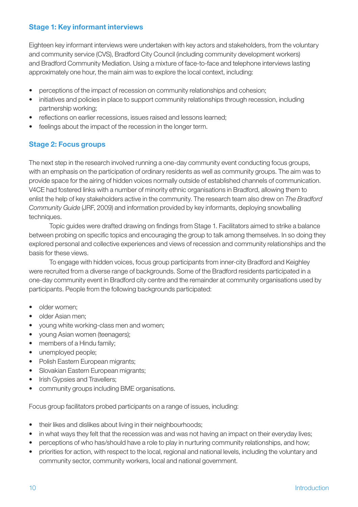#### Stage 1: Key informant interviews

Eighteen key informant interviews were undertaken with key actors and stakeholders, from the voluntary and community service (CVS), Bradford City Council (including community development workers) and Bradford Community Mediation. Using a mixture of face-to-face and telephone interviews lasting approximately one hour, the main aim was to explore the local context, including:

- perceptions of the impact of recession on community relationships and cohesion;
- initiatives and policies in place to support community relationships through recession, including partnership working;
- reflections on earlier recessions, issues raised and lessons learned;
- feelings about the impact of the recession in the longer term.

# Stage 2: Focus groups

The next step in the research involved running a one-day community event conducting focus groups, with an emphasis on the participation of ordinary residents as well as community groups. The aim was to provide space for the airing of hidden voices normally outside of established channels of communication. V4CE had fostered links with a number of minority ethnic organisations in Bradford, allowing them to enlist the help of key stakeholders active in the community. The research team also drew on *The Bradford Community Guide* (JRF, 2009) and information provided by key informants, deploying snowballing techniques.

Topic guides were drafted drawing on findings from Stage 1. Facilitators aimed to strike a balance between probing on specific topics and encouraging the group to talk among themselves. In so doing they explored personal and collective experiences and views of recession and community relationships and the basis for these views.

To engage with hidden voices, focus group participants from inner-city Bradford and Keighley were recruited from a diverse range of backgrounds. Some of the Bradford residents participated in a one-day community event in Bradford city centre and the remainder at community organisations used by participants. People from the following backgrounds participated:

- older women:
- older Asian men:
- young white working-class men and women;
- young Asian women (teenagers);
- members of a Hindu family;
- unemployed people;
- Polish Eastern European migrants;
- Slovakian Eastern European migrants;
- Irish Gypsies and Travellers;
- community groups including BME organisations.

Focus group facilitators probed participants on a range of issues, including:

- their likes and dislikes about living in their neighbourhoods;
- in what ways they felt that the recession was and was not having an impact on their everyday lives;
- perceptions of who has/should have a role to play in nurturing community relationships, and how;
- priorities for action, with respect to the local, regional and national levels, including the voluntary and community sector, community workers, local and national government.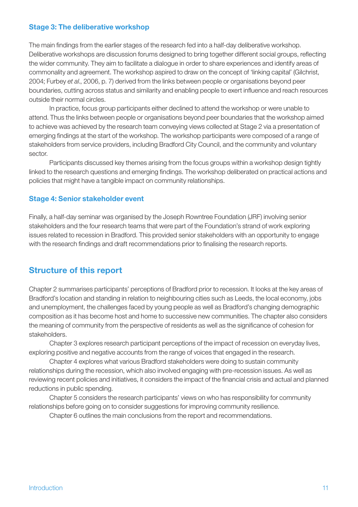#### Stage 3: The deliberative workshop

The main findings from the earlier stages of the research fed into a half-day deliberative workshop. Deliberative workshops are discussion forums designed to bring together different social groups, reflecting the wider community. They aim to facilitate a dialogue in order to share experiences and identify areas of commonality and agreement. The workshop aspired to draw on the concept of 'linking capital' (Gilchrist, 2004; Furbey *et al*., 2006, p. 7) derived from the links between people or organisations beyond peer boundaries, cutting across status and similarity and enabling people to exert influence and reach resources outside their normal circles.

In practice, focus group participants either declined to attend the workshop or were unable to attend. Thus the links between people or organisations beyond peer boundaries that the workshop aimed to achieve was achieved by the research team conveying views collected at Stage 2 via a presentation of emerging findings at the start of the workshop. The workshop participants were composed of a range of stakeholders from service providers, including Bradford City Council, and the community and voluntary sector.

Participants discussed key themes arising from the focus groups within a workshop design tightly linked to the research questions and emerging findings. The workshop deliberated on practical actions and policies that might have a tangible impact on community relationships.

#### Stage 4: Senior stakeholder event

Finally, a half-day seminar was organised by the Joseph Rowntree Foundation (JRF) involving senior stakeholders and the four research teams that were part of the Foundation's strand of work exploring issues related to recession in Bradford. This provided senior stakeholders with an opportunity to engage with the research findings and draft recommendations prior to finalising the research reports.

# Structure of this report

Chapter 2 summarises participants' perceptions of Bradford prior to recession. It looks at the key areas of Bradford's location and standing in relation to neighbouring cities such as Leeds, the local economy, jobs and unemployment, the challenges faced by young people as well as Bradford's changing demographic composition as it has become host and home to successive new communities. The chapter also considers the meaning of community from the perspective of residents as well as the significance of cohesion for stakeholders.

Chapter 3 explores research participant perceptions of the impact of recession on everyday lives, exploring positive and negative accounts from the range of voices that engaged in the research.

Chapter 4 explores what various Bradford stakeholders were doing to sustain community relationships during the recession, which also involved engaging with pre-recession issues. As well as reviewing recent policies and initiatives, it considers the impact of the financial crisis and actual and planned reductions in public spending.

Chapter 5 considers the research participants' views on who has responsibility for community relationships before going on to consider suggestions for improving community resilience.

Chapter 6 outlines the main conclusions from the report and recommendations.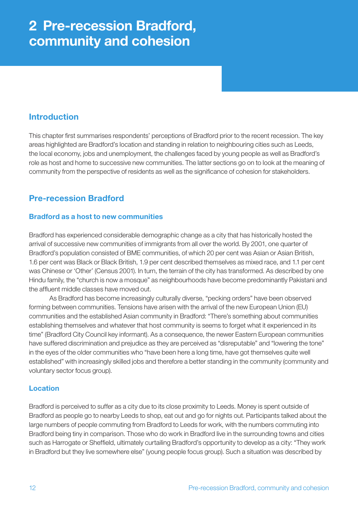# 2 Pre-recession Bradford, community and cohesion

# Introduction

This chapter first summarises respondents' perceptions of Bradford prior to the recent recession. The key areas highlighted are Bradford's location and standing in relation to neighbouring cities such as Leeds, the local economy, jobs and unemployment, the challenges faced by young people as well as Bradford's role as host and home to successive new communities. The latter sections go on to look at the meaning of community from the perspective of residents as well as the significance of cohesion for stakeholders.

# Pre-recession Bradford

#### Bradford as a host to new communities

Bradford has experienced considerable demographic change as a city that has historically hosted the arrival of successive new communities of immigrants from all over the world. By 2001, one quarter of Bradford's population consisted of BME communities, of which 20 per cent was Asian or Asian British, 1.6 per cent was Black or Black British, 1.9 per cent described themselves as mixed race, and 1.1 per cent was Chinese or 'Other' (Census 2001). In turn, the terrain of the city has transformed. As described by one Hindu family, the "church is now a mosque" as neighbourhoods have become predominantly Pakistani and the affluent middle classes have moved out.

As Bradford has become increasingly culturally diverse, "pecking orders" have been observed forming between communities. Tensions have arisen with the arrival of the new European Union (EU) communities and the established Asian community in Bradford: "There's something about communities establishing themselves and whatever that host community is seems to forget what it experienced in its time" (Bradford City Council key informant). As a consequence, the newer Eastern European communities have suffered discrimination and prejudice as they are perceived as "disreputable" and "lowering the tone" in the eyes of the older communities who "have been here a long time, have got themselves quite well established" with increasingly skilled jobs and therefore a better standing in the community (community and voluntary sector focus group).

#### Location

Bradford is perceived to suffer as a city due to its close proximity to Leeds. Money is spent outside of Bradford as people go to nearby Leeds to shop, eat out and go for nights out. Participants talked about the large numbers of people commuting from Bradford to Leeds for work, with the numbers commuting into Bradford being tiny in comparison. Those who do work in Bradford live in the surrounding towns and cities such as Harrogate or Sheffield, ultimately curtailing Bradford's opportunity to develop as a city: "They work in Bradford but they live somewhere else" (young people focus group). Such a situation was described by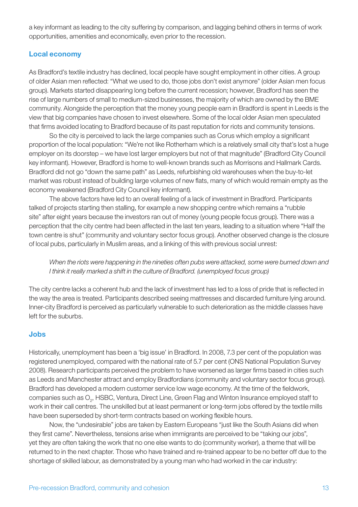a key informant as leading to the city suffering by comparison, and lagging behind others in terms of work opportunities, amenities and economically, even prior to the recession.

#### Local economy

As Bradford's textile industry has declined, local people have sought employment in other cities. A group of older Asian men reflected: "What we used to do, those jobs don't exist anymore" (older Asian men focus group). Markets started disappearing long before the current recession; however, Bradford has seen the rise of large numbers of small to medium-sized businesses, the majority of which are owned by the BME community. Alongside the perception that the money young people earn in Bradford is spent in Leeds is the view that big companies have chosen to invest elsewhere. Some of the local older Asian men speculated that firms avoided locating to Bradford because of its past reputation for riots and community tensions.

So the city is perceived to lack the large companies such as Corus which employ a significant proportion of the local population: "We're not like Rotherham which is a relatively small city that's lost a huge employer on its doorstep – we have lost larger employers but not of that magnitude" (Bradford City Council key informant). However, Bradford is home to well-known brands such as Morrisons and Hallmark Cards. Bradford did not go "down the same path" as Leeds, refurbishing old warehouses when the buy-to-let market was robust instead of building large volumes of new flats, many of which would remain empty as the economy weakened (Bradford City Council key informant).

The above factors have led to an overall feeling of a lack of investment in Bradford. Participants talked of projects starting then stalling, for example a new shopping centre which remains a "rubble site" after eight years because the investors ran out of money (young people focus group). There was a perception that the city centre had been affected in the last ten years, leading to a situation where "Half the town centre is shut" (community and voluntary sector focus group). Another observed change is the closure of local pubs, particularly in Muslim areas, and a linking of this with previous social unrest:

*When the riots were happening in the nineties often pubs were attacked, some were burned down and I think it really marked a shift in the culture of Bradford. (unemployed focus group)*

The city centre lacks a coherent hub and the lack of investment has led to a loss of pride that is reflected in the way the area is treated. Participants described seeing mattresses and discarded furniture lying around. Inner-city Bradford is perceived as particularly vulnerable to such deterioration as the middle classes have left for the suburbs.

#### Jobs

Historically, unemployment has been a 'big issue' in Bradford. In 2008, 7.3 per cent of the population was registered unemployed, compared with the national rate of 5.7 per cent (ONS National Population Survey 2008). Research participants perceived the problem to have worsened as larger firms based in cities such as Leeds and Manchester attract and employ Bradfordians (community and voluntary sector focus group). Bradford has developed a modern customer service low wage economy. At the time of the fieldwork, companies such as  $\mathrm{O}_2$ , HSBC, Ventura, Direct Line, Green Flag and Winton Insurance employed staff to work in their call centres. The unskilled but at least permanent or long-term jobs offered by the textile mills have been superseded by short-term contracts based on working flexible hours.

Now, the "undesirable" jobs are taken by Eastern Europeans "just like the South Asians did when they first came". Nevertheless, tensions arise when immigrants are perceived to be "taking our jobs", yet they are often taking the work that no one else wants to do (community worker), a theme that will be returned to in the next chapter. Those who have trained and re-trained appear to be no better off due to the shortage of skilled labour, as demonstrated by a young man who had worked in the car industry: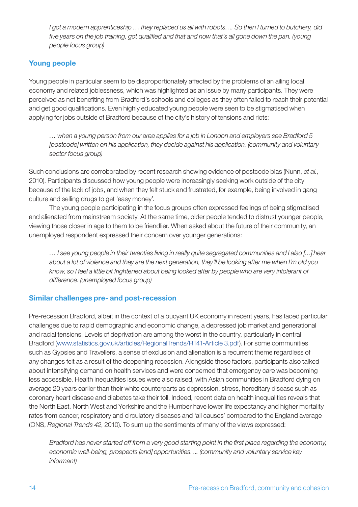*I got a modern apprenticeship … they replaced us all with robots…. So then I turned to butchery, did five years on the job training, got qualified and that and now that's all gone down the pan. (young people focus group)*

### Young people

Young people in particular seem to be disproportionately affected by the problems of an ailing local economy and related joblessness, which was highlighted as an issue by many participants. They were perceived as not benefiting from Bradford's schools and colleges as they often failed to reach their potential and get good qualifications. Even highly educated young people were seen to be stigmatised when applying for jobs outside of Bradford because of the city's history of tensions and riots:

*… when a young person from our area applies for a job in London and employers see Bradford 5 [postcode] written on his application, they decide against his application. (community and voluntary sector focus group)*

Such conclusions are corroborated by recent research showing evidence of postcode bias (Nunn, *et al.*, 2010). Participants discussed how young people were increasingly seeking work outside of the city because of the lack of jobs, and when they felt stuck and frustrated, for example, being involved in gang culture and selling drugs to get 'easy money'.

The young people participating in the focus groups often expressed feelings of being stigmatised and alienated from mainstream society. At the same time, older people tended to distrust younger people, viewing those closer in age to them to be friendlier. When asked about the future of their community, an unemployed respondent expressed their concern over younger generations:

*… I see young people in their twenties living in really quite segregated communities and I also […] hear about a lot of violence and they are the next generation, they'll be looking after me when I'm old you know, so I feel a little bit frightened about being looked after by people who are very intolerant of difference. (unemployed focus group)*

### Similar challenges pre- and post-recession

Pre-recession Bradford, albeit in the context of a buoyant UK economy in recent years, has faced particular challenges due to rapid demographic and economic change, a depressed job market and generational and racial tensions. Levels of deprivation are among the worst in the country, particularly in central Bradford (www.statistics.gov.uk/articles/RegionalTrends/RT41-Article 3.pdf). For some communities such as Gypsies and Travellers, a sense of exclusion and alienation is a recurrent theme regardless of any changes felt as a result of the deepening recession. Alongside these factors, participants also talked about intensifying demand on health services and were concerned that emergency care was becoming less accessible. Health inequalities issues were also raised, with Asian communities in Bradford dying on average 20 years earlier than their white counterparts as depression, stress, hereditary disease such as coronary heart disease and diabetes take their toll. Indeed, recent data on health inequalities reveals that the North East, North West and Yorkshire and the Humber have lower life expectancy and higher mortality rates from cancer, respiratory and circulatory diseases and 'all causes' compared to the England average (ONS, *Regional Trends 42*, 2010). To sum up the sentiments of many of the views expressed:

*Bradford has never started off from a very good starting point in the first place regarding the economy, economic well-being, prospects [and] opportunities…. (community and voluntary service key informant)*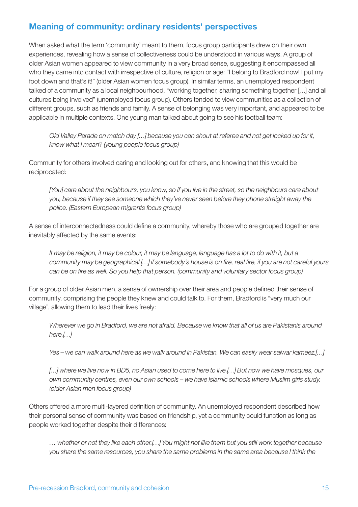# Meaning of community: ordinary residents' perspectives

When asked what the term 'community' meant to them, focus group participants drew on their own experiences, revealing how a sense of collectiveness could be understood in various ways. A group of older Asian women appeared to view community in a very broad sense, suggesting it encompassed all who they came into contact with irrespective of culture, religion or age: "I belong to Bradford now! I put my foot down and that's it!" (older Asian women focus group). In similar terms, an unemployed respondent talked of a community as a local neighbourhood, "working together, sharing something together […] and all cultures being involved" (unemployed focus group). Others tended to view communities as a collection of different groups, such as friends and family. A sense of belonging was very important, and appeared to be applicable in multiple contexts. One young man talked about going to see his football team:

*Old Valley Parade on match day […] because you can shout at referee and not get locked up for it, know what I mean? (young people focus group)*

Community for others involved caring and looking out for others, and knowing that this would be reciprocated:

*[You] care about the neighbours, you know, so if you live in the street, so the neighbours care about you, because if they see someone which they've never seen before they phone straight away the police. (Eastern European migrants focus group)*

A sense of interconnectedness could define a community, whereby those who are grouped together are inevitably affected by the same events:

*It may be religion, it may be colour, it may be language, language has a lot to do with it, but a community may be geographical […] if somebody's house is on fire, real fire, if you are not careful yours can be on fire as well. So you help that person. (community and voluntary sector focus group)*

For a group of older Asian men, a sense of ownership over their area and people defined their sense of community, comprising the people they knew and could talk to. For them, Bradford is "very much our village", allowing them to lead their lives freely:

*Wherever we go in Bradford, we are not afraid. Because we know that all of us are Pakistanis around here.[…]*

*Yes – we can walk around here as we walk around in Pakistan. We can easily wear salwar kameez.[…]*

*[…] where we live now in BD5, no Asian used to come here to live.[…] But now we have mosques, our own community centres, even our own schools – we have Islamic schools where Muslim girls study. (older Asian men focus group)*

Others offered a more multi-layered definition of community. An unemployed respondent described how their personal sense of community was based on friendship, yet a community could function as long as people worked together despite their differences:

*… whether or not they like each other.[…] You might not like them but you still work together because you share the same resources, you share the same problems in the same area because I think the*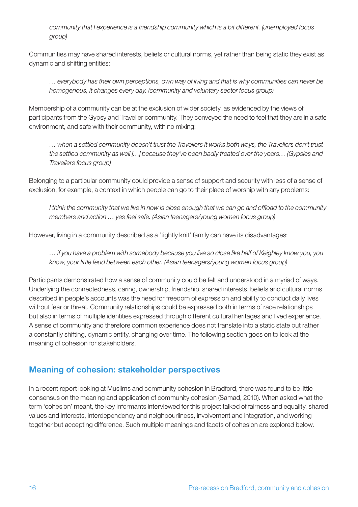*community that I experience is a friendship community which is a bit different. (unemployed focus group)*

Communities may have shared interests, beliefs or cultural norms, yet rather than being static they exist as dynamic and shifting entities:

*… everybody has their own perceptions, own way of living and that is why communities can never be homogenous, it changes every day. (community and voluntary sector focus group)*

Membership of a community can be at the exclusion of wider society, as evidenced by the views of participants from the Gypsy and Traveller community. They conveyed the need to feel that they are in a safe environment, and safe with their community, with no mixing:

*… when a settled community doesn't trust the Travellers it works both ways, the Travellers don't trust the settled community as well […] because they've been badly treated over the years… (Gypsies and Travellers focus group)*

Belonging to a particular community could provide a sense of support and security with less of a sense of exclusion, for example, a context in which people can go to their place of worship with any problems:

*I think the community that we live in now is close enough that we can go and offload to the community members and action … yes feel safe. (Asian teenagers/young women focus group)*

However, living in a community described as a 'tightly knit' family can have its disadvantages:

*… if you have a problem with somebody because you live so close like half of Keighley know you, you know, your little feud between each other. (Asian teenagers/young women focus group)*

Participants demonstrated how a sense of community could be felt and understood in a myriad of ways. Underlying the connectedness, caring, ownership, friendship, shared interests, beliefs and cultural norms described in people's accounts was the need for freedom of expression and ability to conduct daily lives without fear or threat. Community relationships could be expressed both in terms of race relationships but also in terms of multiple identities expressed through different cultural heritages and lived experience. A sense of community and therefore common experience does not translate into a static state but rather a constantly shifting, dynamic entity, changing over time. The following section goes on to look at the meaning of cohesion for stakeholders.

# Meaning of cohesion: stakeholder perspectives

In a recent report looking at Muslims and community cohesion in Bradford, there was found to be little consensus on the meaning and application of community cohesion (Samad, 2010). When asked what the term 'cohesion' meant, the key informants interviewed for this project talked of fairness and equality, shared values and interests, interdependency and neighbourliness, involvement and integration, and working together but accepting difference. Such multiple meanings and facets of cohesion are explored below.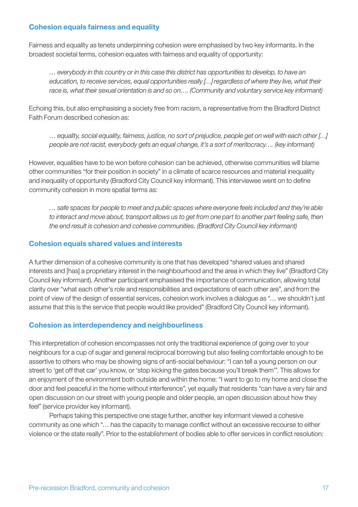#### Cohesion equals fairness and equality

Fairness and equality as tenets underpinning cohesion were emphasised by two key informants. In the broadest societal terms, cohesion equates with fairness and equality of opportunity:

*… everybody in this country or in this case this district has opportunities to develop, to have an education, to receive services, equal opportunities really […] regardless of where they live, what their race is, what their sexual orientation is and so on…. (Community and voluntary service key informant)*

Echoing this, but also emphasising a society free from racism, a representative from the Bradford District Faith Forum described cohesion as:

*… equality, social equality, fairness, justice, no sort of prejudice, people get on well with each other […] people are not racist, everybody gets an equal change, it's a sort of meritocracy…. (key informant)*

However, equalities have to be won before cohesion can be achieved, otherwise communities will blame other communities "for their position in society" in a climate of scarce resources and material inequality and inequality of opportunity (Bradford City Council key informant). This interviewee went on to define community cohesion in more spatial terms as:

*… safe spaces for people to meet and public spaces where everyone feels included and they're able to interact and move about, transport allows us to get from one part to another part feeling safe, then the end result is cohesion and cohesive communities. (Bradford City Council key informant)*

#### Cohesion equals shared values and interests

A further dimension of a cohesive community is one that has developed "shared values and shared interests and [has] a proprietary interest in the neighbourhood and the area in which they live" (Bradford City Council key informant). Another participant emphasised the importance of communication, allowing total clarity over "what each other's role and responsibilities and expectations of each other are", and from the point of view of the design of essential services, cohesion work involves a dialogue as "… we shouldn't just assume that this is the service that people would like provided" (Bradford City Council key informant).

#### Cohesion as interdependency and neighbourliness

This interpretation of cohesion encompasses not only the traditional experience of going over to your neighbours for a cup of sugar and general reciprocal borrowing but also feeling comfortable enough to be assertive to others who may be showing signs of anti-social behaviour: "I can tell a young person on our street to 'get off that car' you know, or 'stop kicking the gates because you'll break them'". This allows for an enjoyment of the environment both outside and within the home: "I want to go to my home and close the door and feel peaceful in the home without interference", yet equally that residents "can have a very fair and open discussion on our street with young people and older people, an open discussion about how they feel" (service provider key informant).

Perhaps taking this perspective one stage further, another key informant viewed a cohesive community as one which "… has the capacity to manage conflict without an excessive recourse to either violence or the state really". Prior to the establishment of bodies able to offer services in conflict resolution: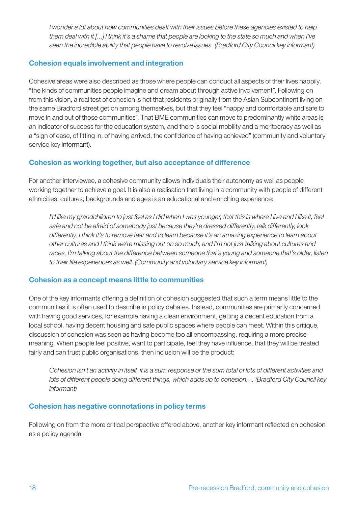*I wonder a lot about how communities dealt with their issues before these agencies existed to help them deal with it […] I think it's a shame that people are looking to the state so much and when I've seen the incredible ability that people have to resolve issues. (Bradford City Council key informant)*

#### Cohesion equals involvement and integration

Cohesive areas were also described as those where people can conduct all aspects of their lives happily, "the kinds of communities people imagine and dream about through active involvement". Following on from this vision, a real test of cohesion is not that residents originally from the Asian Subcontinent living on the same Bradford street get on among themselves, but that they feel "happy and comfortable and safe to move in and out of those communities". That BME communities can move to predominantly white areas is an indicator of success for the education system, and there is social mobility and a meritocracy as well as a "sign of ease, of fitting in, of having arrived, the confidence of having achieved" (community and voluntary service key informant).

#### Cohesion as working together, but also acceptance of difference

For another interviewee, a cohesive community allows individuals their autonomy as well as people working together to achieve a goal. It is also a realisation that living in a community with people of different ethnicities, cultures, backgrounds and ages is an educational and enriching experience:

*I'd like my grandchildren to just feel as I did when I was younger, that this is where I live and I like it, feel safe and not be afraid of somebody just because they're dressed differently, talk differently, look differently, I think it's to remove fear and to learn because it's an amazing experience to learn about other cultures and I think we're missing out on so much, and I'm not just talking about cultures and races, I'm talking about the difference between someone that's young and someone that's older, listen to their life experiences as well. (Community and voluntary service key informant)*

#### Cohesion as a concept means little to communities

One of the key informants offering a definition of cohesion suggested that such a term means little to the communities it is often used to describe in policy debates. Instead, communities are primarily concerned with having good services, for example having a clean environment, getting a decent education from a local school, having decent housing and safe public spaces where people can meet. Within this critique, discussion of cohesion was seen as having become too all encompassing, requiring a more precise meaning. When people feel positive, want to participate, feel they have influence, that they will be treated fairly and can trust public organisations, then inclusion will be the product:

*Cohesion isn't an activity in itself, it is a sum response or the sum total of lots of different activities and lots of different people doing different things, which adds up to cohesion…. (Bradford City Council key informant)*

#### Cohesion has negative connotations in policy terms

Following on from the more critical perspective offered above, another key informant reflected on cohesion as a policy agenda: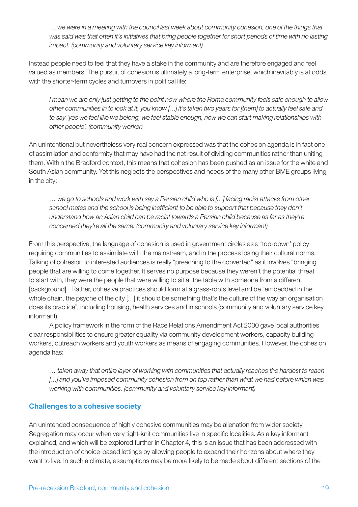*… we were in a meeting with the council last week about community cohesion, one of the things that was said was that often it's initiatives that bring people together for short periods of time with no lasting impact. (community and voluntary service key informant)*

Instead people need to feel that they have a stake in the community and are therefore engaged and feel valued as members. The pursuit of cohesion is ultimately a long-term enterprise, which inevitably is at odds with the shorter-term cycles and turnovers in political life:

*I mean we are only just getting to the point now where the Roma community feels safe enough to allow other communities in to look at it, you know […] it's taken two years for [them] to actually feel safe and to say 'yes we feel like we belong, we feel stable enough, now we can start making relationships with other people'. (community worker)*

An unintentional but nevertheless very real concern expressed was that the cohesion agenda is in fact one of assimilation and conformity that may have had the net result of dividing communities rather than uniting them. Within the Bradford context, this means that cohesion has been pushed as an issue for the white and South Asian community. Yet this neglects the perspectives and needs of the many other BME groups living in the city:

*… we go to schools and work with say a Persian child who is […] facing racist attacks from other school mates and the school is being inefficient to be able to support that because they don't understand how an Asian child can be racist towards a Persian child because as far as they're concerned they're all the same. (community and voluntary service key informant)*

From this perspective, the language of cohesion is used in government circles as a 'top-down' policy requiring communities to assimilate with the mainstream, and in the process losing their cultural norms. Talking of cohesion to interested audiences is really "preaching to the converted" as it involves "bringing people that are willing to come together. It serves no purpose because they weren't the potential threat to start with, they were the people that were willing to sit at the table with someone from a different [background]". Rather, cohesive practices should form at a grass-roots level and be "embedded in the whole chain, the psyche of the city […] it should be something that's the culture of the way an organisation does its practice", including housing, health services and in schools (community and voluntary service key informant).

A policy framework in the form of the Race Relations Amendment Act 2000 gave local authorities clear responsibilities to ensure greater equality via community development workers, capacity building workers, outreach workers and youth workers as means of engaging communities. However, the cohesion agenda has:

*… taken away that entire layer of working with communities that actually reaches the hardest to reach […] and you've imposed community cohesion from on top rather than what we had before which was working with communities. (community and voluntary service key informant)*

#### Challenges to a cohesive society

An unintended consequence of highly cohesive communities may be alienation from wider society. Segregation may occur when very tight-knit communities live in specific localities. As a key informant explained, and which will be explored further in Chapter 4, this is an issue that has been addressed with the introduction of choice-based lettings by allowing people to expand their horizons about where they want to live. In such a climate, assumptions may be more likely to be made about different sections of the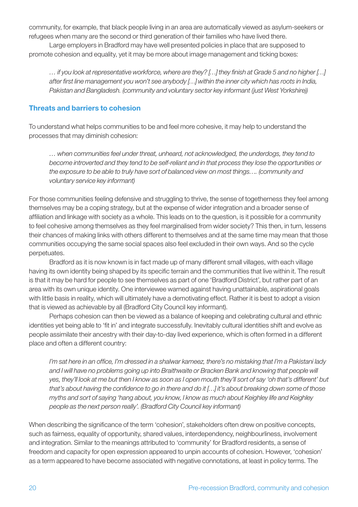community, for example, that black people living in an area are automatically viewed as asylum-seekers or refugees when many are the second or third generation of their families who have lived there.

Large employers in Bradford may have well presented policies in place that are supposed to promote cohesion and equality, yet it may be more about image management and ticking boxes:

*… if you look at representative workforce, where are they? […] they finish at Grade 5 and no higher […] after first line management you won't see anybody […] within the inner city which has roots in India, Pakistan and Bangladesh. (community and voluntary sector key informant (just West Yorkshire))*

#### Threats and barriers to cohesion

To understand what helps communities to be and feel more cohesive, it may help to understand the processes that may diminish cohesion:

*… when communities feel under threat, unheard, not acknowledged, the underdogs, they tend to become introverted and they tend to be self-reliant and in that process they lose the opportunities or the exposure to be able to truly have sort of balanced view on most things…. (community and voluntary service key informant)*

For those communities feeling defensive and struggling to thrive, the sense of togetherness they feel among themselves may be a coping strategy, but at the expense of wider integration and a broader sense of affiliation and linkage with society as a whole. This leads on to the question, is it possible for a community to feel cohesive among themselves as they feel marginalised from wider society? This then, in turn, lessens their chances of making links with others different to themselves and at the same time may mean that those communities occupying the same social spaces also feel excluded in their own ways. And so the cycle perpetuates.

Bradford as it is now known is in fact made up of many different small villages, with each village having its own identity being shaped by its specific terrain and the communities that live within it. The result is that it may be hard for people to see themselves as part of one 'Bradford District', but rather part of an area with its own unique identity. One interviewee warned against having unattainable, aspirational goals with little basis in reality, which will ultimately have a demotivating effect. Rather it is best to adopt a vision that is viewed as achievable by all (Bradford City Council key informant).

Perhaps cohesion can then be viewed as a balance of keeping and celebrating cultural and ethnic identities yet being able to 'fit in' and integrate successfully. Inevitably cultural identities shift and evolve as people assimilate their ancestry with their day-to-day lived experience, which is often formed in a different place and often a different country:

*I'm sat here in an office, I'm dressed in a shalwar kameez, there's no mistaking that I'm a Pakistani lady*  and I will have no problems going up into Braithwaite or Bracken Bank and knowing that people will *yes, they'll look at me but then I know as soon as I open mouth they'll sort of say 'oh that's different' but that's about having the confidence to go in there and do it […] it's about breaking down some of those myths and sort of saying 'hang about, you know, I know as much about Keighley life and Keighley people as the next person really'. (Bradford City Council key informant)*

When describing the significance of the term 'cohesion', stakeholders often drew on positive concepts, such as fairness, equality of opportunity, shared values, interdependency, neighbourliness, involvement and integration. Similar to the meanings attributed to 'community' for Bradford residents, a sense of freedom and capacity for open expression appeared to unpin accounts of cohesion. However, 'cohesion' as a term appeared to have become associated with negative connotations, at least in policy terms. The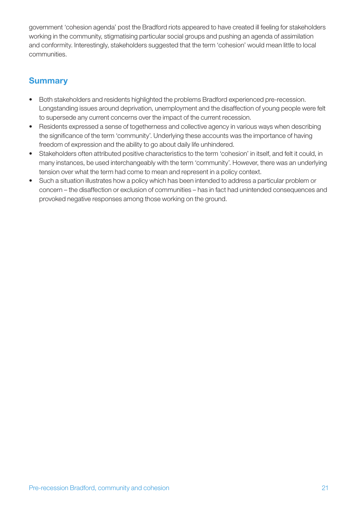government 'cohesion agenda' post the Bradford riots appeared to have created ill feeling for stakeholders working in the community, stigmatising particular social groups and pushing an agenda of assimilation and conformity. Interestingly, stakeholders suggested that the term 'cohesion' would mean little to local communities.

# **Summary**

- Both stakeholders and residents highlighted the problems Bradford experienced pre-recession. Longstanding issues around deprivation, unemployment and the disaffection of young people were felt to supersede any current concerns over the impact of the current recession.
- Residents expressed a sense of togetherness and collective agency in various ways when describing the significance of the term 'community'. Underlying these accounts was the importance of having freedom of expression and the ability to go about daily life unhindered.
- Stakeholders often attributed positive characteristics to the term 'cohesion' in itself, and felt it could, in many instances, be used interchangeably with the term 'community'. However, there was an underlying tension over what the term had come to mean and represent in a policy context.
- Such a situation illustrates how a policy which has been intended to address a particular problem or concern – the disaffection or exclusion of communities – has in fact had unintended consequences and provoked negative responses among those working on the ground.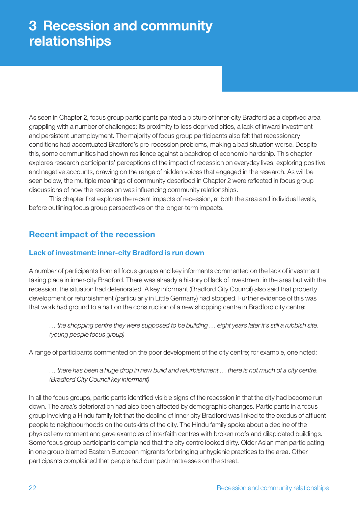# 3 Recession and community relationships

As seen in Chapter 2, focus group participants painted a picture of inner-city Bradford as a deprived area grappling with a number of challenges: its proximity to less deprived cities, a lack of inward investment and persistent unemployment. The majority of focus group participants also felt that recessionary conditions had accentuated Bradford's pre-recession problems, making a bad situation worse. Despite this, some communities had shown resilience against a backdrop of economic hardship. This chapter explores research participants' perceptions of the impact of recession on everyday lives, exploring positive and negative accounts, drawing on the range of hidden voices that engaged in the research. As will be seen below, the multiple meanings of community described in Chapter 2 were reflected in focus group discussions of how the recession was influencing community relationships.

This chapter first explores the recent impacts of recession, at both the area and individual levels, before outlining focus group perspectives on the longer-term impacts.

# Recent impact of the recession

#### Lack of investment: inner-city Bradford is run down

A number of participants from all focus groups and key informants commented on the lack of investment taking place in inner-city Bradford. There was already a history of lack of investment in the area but with the recession, the situation had deteriorated. A key informant (Bradford City Council) also said that property development or refurbishment (particularly in Little Germany) had stopped. Further evidence of this was that work had ground to a halt on the construction of a new shopping centre in Bradford city centre:

*… the shopping centre they were supposed to be building … eight years later it's still a rubbish site. (young people focus group)*

A range of participants commented on the poor development of the city centre; for example, one noted:

#### *… there has been a huge drop in new build and refurbishment … there is not much of a city centre. (Bradford City Council key informant)*

In all the focus groups, participants identified visible signs of the recession in that the city had become run down. The area's deterioration had also been affected by demographic changes. Participants in a focus group involving a Hindu family felt that the decline of inner-city Bradford was linked to the exodus of affluent people to neighbourhoods on the outskirts of the city. The Hindu family spoke about a decline of the physical environment and gave examples of interfaith centres with broken roofs and dilapidated buildings. Some focus group participants complained that the city centre looked dirty. Older Asian men participating in one group blamed Eastern European migrants for bringing unhygienic practices to the area. Other participants complained that people had dumped mattresses on the street.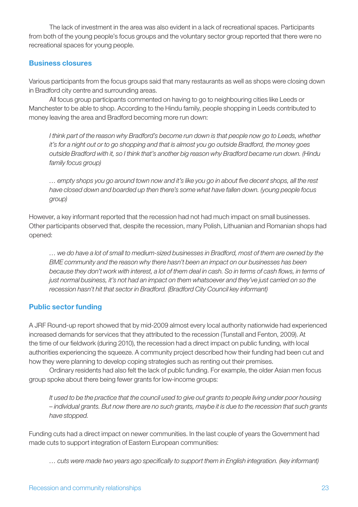The lack of investment in the area was also evident in a lack of recreational spaces. Participants from both of the young people's focus groups and the voluntary sector group reported that there were no recreational spaces for young people.

#### Business closures

Various participants from the focus groups said that many restaurants as well as shops were closing down in Bradford city centre and surrounding areas.

All focus group participants commented on having to go to neighbouring cities like Leeds or Manchester to be able to shop. According to the Hindu family, people shopping in Leeds contributed to money leaving the area and Bradford becoming more run down:

*I think part of the reason why Bradford's become run down is that people now go to Leeds, whether it's for a night out or to go shopping and that is almost you go outside Bradford, the money goes outside Bradford with it, so I think that's another big reason why Bradford became run down. (Hindu family focus group)*

*… empty shops you go around town now and it's like you go in about five decent shops, all the rest have closed down and boarded up then there's some what have fallen down. (young people focus group)*

However, a key informant reported that the recession had not had much impact on small businesses. Other participants observed that, despite the recession, many Polish, Lithuanian and Romanian shops had opened:

*… we do have a lot of small to medium-sized businesses in Bradford, most of them are owned by the BME community and the reason why there hasn't been an impact on our businesses has been because they don't work with interest, a lot of them deal in cash. So in terms of cash flows, in terms of just normal business, it's not had an impact on them whatsoever and they've just carried on so the recession hasn't hit that sector in Bradford. (Bradford City Council key informant)*

#### Public sector funding

A JRF Round-up report showed that by mid-2009 almost every local authority nationwide had experienced increased demands for services that they attributed to the recession (Tunstall and Fenton, 2009). At the time of our fieldwork (during 2010), the recession had a direct impact on public funding, with local authorities experiencing the squeeze. A community project described how their funding had been cut and how they were planning to develop coping strategies such as renting out their premises.

Ordinary residents had also felt the lack of public funding. For example, the older Asian men focus group spoke about there being fewer grants for low-income groups:

*It used to be the practice that the council used to give out grants to people living under poor housing – individual grants. But now there are no such grants, maybe it is due to the recession that such grants have stopped.*

Funding cuts had a direct impact on newer communities. In the last couple of years the Government had made cuts to support integration of Eastern European communities:

*… cuts were made two years ago specifically to support them in English integration. (key informant)*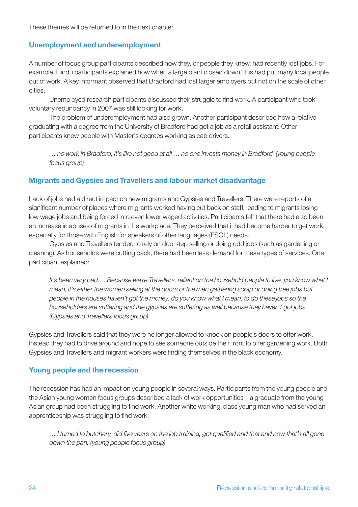These themes will be returned to in the next chapter.

#### Unemployment and underemployment

A number of focus group participants described how they, or people they knew, had recently lost jobs. For example, Hindu participants explained how when a large plant closed down, this had put many local people out of work. A key informant observed that Bradford had lost larger employers but not on the scale of other cities.

Unemployed research participants discussed their struggle to find work. A participant who took voluntary redundancy in 2007 was still looking for work.

The problem of underemployment had also grown. Another participant described how a relative graduating with a degree from the University of Bradford had got a job as a retail assistant. Other participants knew people with Master's degrees working as cab drivers.

*… no work in Bradford, it's like not good at all … no one invests money in Bradford. (young people focus group)*

#### Migrants and Gypsies and Travellers and labour market disadvantage

Lack of jobs had a direct impact on new migrants and Gypsies and Travellers. There were reports of a significant number of places where migrants worked having cut back on staff, leading to migrants losing low wage jobs and being forced into even lower waged activities. Participants felt that there had also been an increase in abuses of migrants in the workplace. They perceived that it had become harder to get work, especially for those with English for speakers of other languages (ESOL) needs.

Gypsies and Travellers tended to rely on doorstep selling or doing odd jobs (such as gardening or cleaning). As households were cutting back, there had been less demand for these types of services. One participant explained:

*It's been very bad…. Because we're Travellers, reliant on the household people to live, you know what I mean, it's either the women selling at the doors or the men gathering scrap or doing tree jobs but people in the houses haven't got the money, do you know what I mean, to do these jobs so the householders are suffering and the gypsies are suffering as well because they haven't got jobs. (Gypsies and Travellers focus group)*

Gypsies and Travellers said that they were no longer allowed to knock on people's doors to offer work. Instead they had to drive around and hope to see someone outside their front to offer gardening work. Both Gypsies and Travellers and migrant workers were finding themselves in the black economy.

#### Young people and the recession

The recession has had an impact on young people in several ways. Participants from the young people and the Asian young women focus groups described a lack of work opportunities – a graduate from the young Asian group had been struggling to find work. Another white working-class young man who had served an apprenticeship was struggling to find work:

*… I turned to butchery, did five years on the job training, got qualified and that and now that's all gone down the pan. (young people focus group)*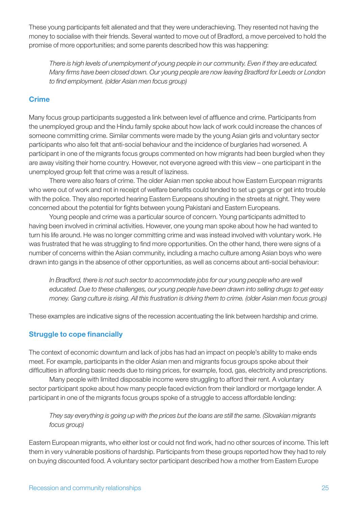These young participants felt alienated and that they were underachieving. They resented not having the money to socialise with their friends. Several wanted to move out of Bradford, a move perceived to hold the promise of more opportunities; and some parents described how this was happening:

*There is high levels of unemployment of young people in our community. Even if they are educated. Many firms have been closed down. Our young people are now leaving Bradford for Leeds or London to find employment. (older Asian men focus group)*

#### **Crime**

Many focus group participants suggested a link between level of affluence and crime. Participants from the unemployed group and the Hindu family spoke about how lack of work could increase the chances of someone committing crime. Similar comments were made by the young Asian girls and voluntary sector participants who also felt that anti-social behaviour and the incidence of burglaries had worsened. A participant in one of the migrants focus groups commented on how migrants had been burgled when they are away visiting their home country. However, not everyone agreed with this view – one participant in the unemployed group felt that crime was a result of laziness.

There were also fears of crime. The older Asian men spoke about how Eastern European migrants who were out of work and not in receipt of welfare benefits could tended to set up gangs or get into trouble with the police. They also reported hearing Eastern Europeans shouting in the streets at night. They were concerned about the potential for fights between young Pakistani and Eastern Europeans.

Young people and crime was a particular source of concern. Young participants admitted to having been involved in criminal activities. However, one young man spoke about how he had wanted to turn his life around. He was no longer committing crime and was instead involved with voluntary work. He was frustrated that he was struggling to find more opportunities. On the other hand, there were signs of a number of concerns within the Asian community, including a macho culture among Asian boys who were drawn into gangs in the absence of other opportunities, as well as concerns about anti-social behaviour:

In Bradford, there is not such sector to accommodate jobs for our young people who are well *educated. Due to these challenges, our young people have been drawn into selling drugs to get easy money. Gang culture is rising. All this frustration is driving them to crime. (older Asian men focus group)*

These examples are indicative signs of the recession accentuating the link between hardship and crime.

#### Struggle to cope financially

The context of economic downturn and lack of jobs has had an impact on people's ability to make ends meet. For example, participants in the older Asian men and migrants focus groups spoke about their difficulties in affording basic needs due to rising prices, for example, food, gas, electricity and prescriptions.

Many people with limited disposable income were struggling to afford their rent. A voluntary sector participant spoke about how many people faced eviction from their landlord or mortgage lender. A participant in one of the migrants focus groups spoke of a struggle to access affordable lending:

*They say everything is going up with the prices but the loans are still the same. (Slovakian migrants focus group)*

Eastern European migrants, who either lost or could not find work, had no other sources of income. This left them in very vulnerable positions of hardship. Participants from these groups reported how they had to rely on buying discounted food. A voluntary sector participant described how a mother from Eastern Europe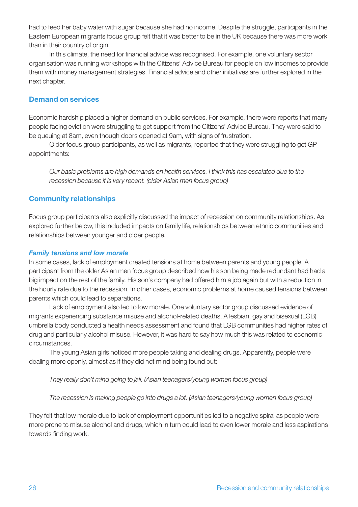had to feed her baby water with sugar because she had no income. Despite the struggle, participants in the Eastern European migrants focus group felt that it was better to be in the UK because there was more work than in their country of origin.

In this climate, the need for financial advice was recognised. For example, one voluntary sector organisation was running workshops with the Citizens' Advice Bureau for people on low incomes to provide them with money management strategies. Financial advice and other initiatives are further explored in the next chapter.

#### Demand on services

Economic hardship placed a higher demand on public services. For example, there were reports that many people facing eviction were struggling to get support from the Citizens' Advice Bureau. They were said to be queuing at 8am, even though doors opened at 9am, with signs of frustration.

Older focus group participants, as well as migrants, reported that they were struggling to get GP appointments:

*Our basic problems are high demands on health services. I think this has escalated due to the recession because it is very recent. (older Asian men focus group)*

#### Community relationships

Focus group participants also explicitly discussed the impact of recession on community relationships. As explored further below, this included impacts on family life, relationships between ethnic communities and relationships between younger and older people.

#### *Family tensions and low morale*

In some cases, lack of employment created tensions at home between parents and young people. A participant from the older Asian men focus group described how his son being made redundant had had a big impact on the rest of the family. His son's company had offered him a job again but with a reduction in the hourly rate due to the recession. In other cases, economic problems at home caused tensions between parents which could lead to separations.

Lack of employment also led to low morale. One voluntary sector group discussed evidence of migrants experiencing substance misuse and alcohol-related deaths. A lesbian, gay and bisexual (LGB) umbrella body conducted a health needs assessment and found that LGB communities had higher rates of drug and particularly alcohol misuse. However, it was hard to say how much this was related to economic circumstances.

The young Asian girls noticed more people taking and dealing drugs. Apparently, people were dealing more openly, almost as if they did not mind being found out:

*They really don't mind going to jail. (Asian teenagers/young women focus group)*

*The recession is making people go into drugs a lot. (Asian teenagers/young women focus group)*

They felt that low morale due to lack of employment opportunities led to a negative spiral as people were more prone to misuse alcohol and drugs, which in turn could lead to even lower morale and less aspirations towards finding work.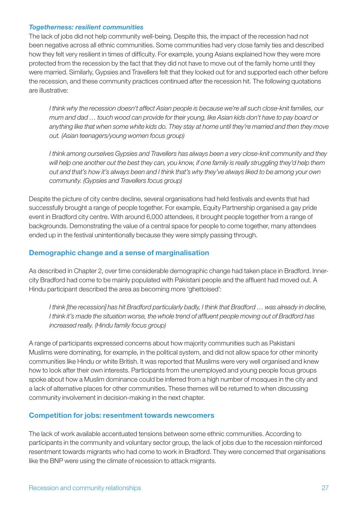#### *Togetherness: resilient communities*

The lack of jobs did not help community well-being. Despite this, the impact of the recession had not been negative across all ethnic communities. Some communities had very close family ties and described how they felt very resilient in times of difficulty. For example, young Asians explained how they were more protected from the recession by the fact that they did not have to move out of the family home until they were married. Similarly, Gypsies and Travellers felt that they looked out for and supported each other before the recession, and these community practices continued after the recession hit. The following quotations are illustrative:

*I think why the recession doesn't affect Asian people is because we're all such close-knit families, our mum and dad … touch wood can provide for their young, like Asian kids don't have to pay board or anything like that when some white kids do. They stay at home until they're married and then they move out. (Asian teenagers/young women focus group)*

*I think among ourselves Gypsies and Travellers has always been a very close-knit community and they will help one another out the best they can, you know, if one family is really struggling they'd help them out and that's how it's always been and I think that's why they've always liked to be among your own community. (Gypsies and Travellers focus group)*

Despite the picture of city centre decline, several organisations had held festivals and events that had successfully brought a range of people together. For example, Equity Partnership organised a gay pride event in Bradford city centre. With around 6,000 attendees, it brought people together from a range of backgrounds. Demonstrating the value of a central space for people to come together, many attendees ended up in the festival unintentionally because they were simply passing through.

#### Demographic change and a sense of marginalisation

As described in Chapter 2, over time considerable demographic change had taken place in Bradford. Innercity Bradford had come to be mainly populated with Pakistani people and the affluent had moved out. A Hindu participant described the area as becoming more 'ghettoised':

*I think [the recession] has hit Bradford particularly badly, I think that Bradford … was already in decline, I think it's made the situation worse, the whole trend of affluent people moving out of Bradford has increased really. (Hindu family focus group)*

A range of participants expressed concerns about how majority communities such as Pakistani Muslims were dominating, for example, in the political system, and did not allow space for other minority communities like Hindu or white British. It was reported that Muslims were very well organised and knew how to look after their own interests. Participants from the unemployed and young people focus groups spoke about how a Muslim dominance could be inferred from a high number of mosques in the city and a lack of alternative places for other communities. These themes will be returned to when discussing community involvement in decision-making in the next chapter.

#### Competition for jobs: resentment towards newcomers

The lack of work available accentuated tensions between some ethnic communities. According to participants in the community and voluntary sector group, the lack of jobs due to the recession reinforced resentment towards migrants who had come to work in Bradford. They were concerned that organisations like the BNP were using the climate of recession to attack migrants.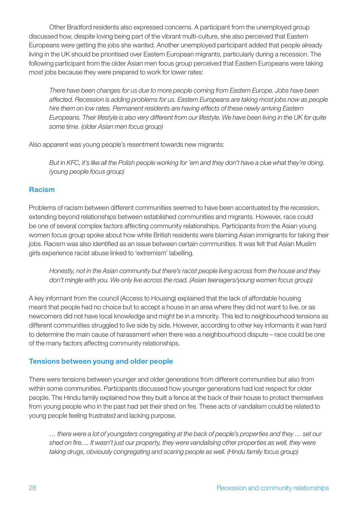Other Bradford residents also expressed concerns. A participant from the unemployed group discussed how, despite loving being part of the vibrant multi-culture, she also perceived that Eastern Europeans were getting the jobs she wanted. Another unemployed participant added that people already living in the UK should be prioritised over Eastern European migrants, particularly during a recession. The following participant from the older Asian men focus group perceived that Eastern Europeans were taking most jobs because they were prepared to work for lower rates:

*There have been changes for us due to more people coming from Eastern Europe. Jobs have been affected. Recession is adding problems for us. Eastern Europeans are taking most jobs now as people hire them on low rates. Permanent residents are having effects of these newly arriving Eastern Europeans. Their lifestyle is also very different from our lifestyle. We have been living in the UK for quite some time. (older Asian men focus group)*

Also apparent was young people's resentment towards new migrants:

*But in KFC, it's like all the Polish people working for 'em and they don't have a clue what they're doing. (young people focus group)*

#### **Racism**

Problems of racism between different communities seemed to have been accentuated by the recession, extending beyond relationships between established communities and migrants. However, race could be one of several complex factors affecting community relationships. Participants from the Asian young women focus group spoke about how white British residents were blaming Asian immigrants for taking their jobs. Racism was also identified as an issue between certain communities. It was felt that Asian Muslim girls experience racist abuse linked to 'extremism' labelling.

*Honestly, not in the Asian community but there's racist people living across from the house and they don't mingle with you. We only live across the road. (Asian teenagers/young women focus group)*

A key informant from the council (Access to Housing) explained that the lack of affordable housing meant that people had no choice but to accept a house in an area where they did not want to live, or as newcomers did not have local knowledge and might be in a minority. This led to neighbourhood tensions as different communities struggled to live side by side. However, according to other key informants it was hard to determine the main cause of harassment when there was a neighbourhood dispute – race could be one of the many factors affecting community relationships.

#### Tensions between young and older people

There were tensions between younger and older generations from different communities but also from within some communities. Participants discussed how younger generations had lost respect for older people. The Hindu family explained how they built a fence at the back of their house to protect themselves from young people who in the past had set their shed on fire. These acts of vandalism could be related to young people feeling frustrated and lacking purpose.

*… there were a lot of youngsters congregating at the back of people's properties and they … set our shed on fire…. It wasn't just our property, they were vandalising other properties as well, they were taking drugs, obviously congregating and scaring people as well. (Hindu family focus group)*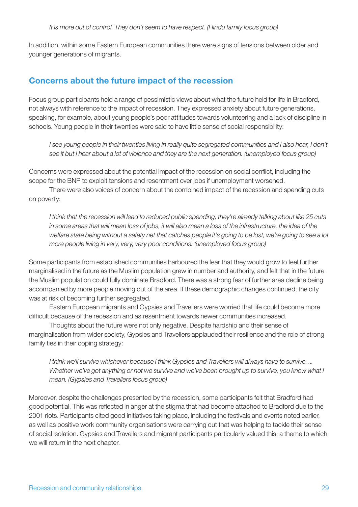In addition, within some Eastern European communities there were signs of tensions between older and younger generations of migrants.

# Concerns about the future impact of the recession

Focus group participants held a range of pessimistic views about what the future held for life in Bradford, not always with reference to the impact of recession. They expressed anxiety about future generations, speaking, for example, about young people's poor attitudes towards volunteering and a lack of discipline in schools. Young people in their twenties were said to have little sense of social responsibility:

*I* see young people in their twenties living in really quite segregated communities and I also hear, I don't *see it but I hear about a lot of violence and they are the next generation. (unemployed focus group)*

Concerns were expressed about the potential impact of the recession on social conflict, including the scope for the BNP to exploit tensions and resentment over jobs if unemployment worsened.

There were also voices of concern about the combined impact of the recession and spending cuts on poverty:

*I think that the recession will lead to reduced public spending, they're already talking about like 25 cuts in some areas that will mean loss of jobs, it will also mean a loss of the infrastructure, the idea of the welfare state being without a safety net that catches people it's going to be lost, we're going to see a lot more people living in very, very, very poor conditions. (unemployed focus group)*

Some participants from established communities harboured the fear that they would grow to feel further marginalised in the future as the Muslim population grew in number and authority, and felt that in the future the Muslim population could fully dominate Bradford. There was a strong fear of further area decline being accompanied by more people moving out of the area. If these demographic changes continued, the city was at risk of becoming further segregated.

Eastern European migrants and Gypsies and Travellers were worried that life could become more difficult because of the recession and as resentment towards newer communities increased.

Thoughts about the future were not only negative. Despite hardship and their sense of marginalisation from wider society, Gypsies and Travellers applauded their resilience and the role of strong family ties in their coping strategy:

*I think we'll survive whichever because I think Gypsies and Travellers will always have to survive…. Whether we've got anything or not we survive and we've been brought up to survive, you know what I mean. (Gypsies and Travellers focus group)*

Moreover, despite the challenges presented by the recession, some participants felt that Bradford had good potential. This was reflected in anger at the stigma that had become attached to Bradford due to the 2001 riots. Participants cited good initiatives taking place, including the festivals and events noted earlier, as well as positive work community organisations were carrying out that was helping to tackle their sense of social isolation. Gypsies and Travellers and migrant participants particularly valued this, a theme to which we will return in the next chapter.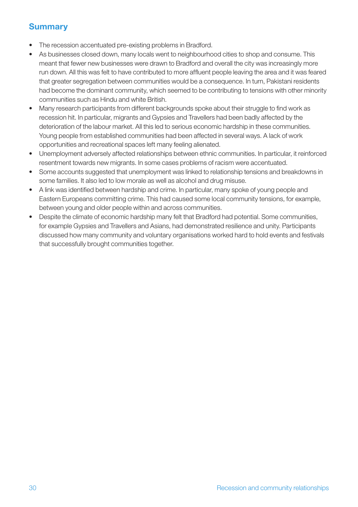# **Summary**

- The recession accentuated pre-existing problems in Bradford.
- As businesses closed down, many locals went to neighbourhood cities to shop and consume. This meant that fewer new businesses were drawn to Bradford and overall the city was increasingly more run down. All this was felt to have contributed to more affluent people leaving the area and it was feared that greater segregation between communities would be a consequence. In turn, Pakistani residents had become the dominant community, which seemed to be contributing to tensions with other minority communities such as Hindu and white British.
- Many research participants from different backgrounds spoke about their struggle to find work as recession hit. In particular, migrants and Gypsies and Travellers had been badly affected by the deterioration of the labour market. All this led to serious economic hardship in these communities. Young people from established communities had been affected in several ways. A lack of work opportunities and recreational spaces left many feeling alienated.
- Unemployment adversely affected relationships between ethnic communities. In particular, it reinforced resentment towards new migrants. In some cases problems of racism were accentuated.
- Some accounts suggested that unemployment was linked to relationship tensions and breakdowns in some families. It also led to low morale as well as alcohol and drug misuse.
- A link was identified between hardship and crime. In particular, many spoke of young people and Eastern Europeans committing crime. This had caused some local community tensions, for example, between young and older people within and across communities.
- Despite the climate of economic hardship many felt that Bradford had potential. Some communities, for example Gypsies and Travellers and Asians, had demonstrated resilience and unity. Participants discussed how many community and voluntary organisations worked hard to hold events and festivals that successfully brought communities together.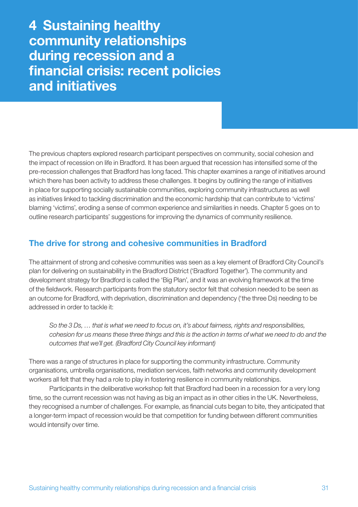4 Sustaining healthy community relationships during recession and a financial crisis: recent policies and initiatives

The previous chapters explored research participant perspectives on community, social cohesion and the impact of recession on life in Bradford. It has been argued that recession has intensified some of the pre-recession challenges that Bradford has long faced. This chapter examines a range of initiatives around which there has been activity to address these challenges. It begins by outlining the range of initiatives in place for supporting socially sustainable communities, exploring community infrastructures as well as initiatives linked to tackling discrimination and the economic hardship that can contribute to 'victims' blaming 'victims', eroding a sense of common experience and similarities in needs. Chapter 5 goes on to outline research participants' suggestions for improving the dynamics of community resilience.

# The drive for strong and cohesive communities in Bradford

The attainment of strong and cohesive communities was seen as a key element of Bradford City Council's plan for delivering on sustainability in the Bradford District ('Bradford Together'). The community and development strategy for Bradford is called the 'Big Plan', and it was an evolving framework at the time of the fieldwork. Research participants from the statutory sector felt that cohesion needed to be seen as an outcome for Bradford, with deprivation, discrimination and dependency ('the three Ds) needing to be addressed in order to tackle it:

*So the 3 Ds, … that is what we need to focus on, it's about fairness, rights and responsibilities, cohesion for us means these three things and this is the action in terms of what we need to do and the outcomes that we'll get. (Bradford City Council key informant)*

There was a range of structures in place for supporting the community infrastructure. Community organisations, umbrella organisations, mediation services, faith networks and community development workers all felt that they had a role to play in fostering resilience in community relationships.

Participants in the deliberative workshop felt that Bradford had been in a recession for a very long time, so the current recession was not having as big an impact as in other cities in the UK. Nevertheless, they recognised a number of challenges. For example, as financial cuts began to bite, they anticipated that a longer-term impact of recession would be that competition for funding between different communities would intensify over time.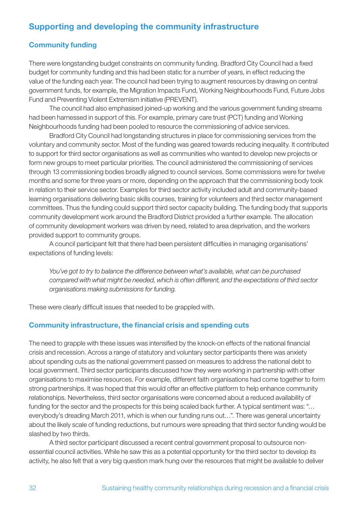# Supporting and developing the community infrastructure

#### Community funding

There were longstanding budget constraints on community funding. Bradford City Council had a fixed budget for community funding and this had been static for a number of years, in effect reducing the value of the funding each year. The council had been trying to augment resources by drawing on central government funds, for example, the Migration Impacts Fund, Working Neighbourhoods Fund, Future Jobs Fund and Preventing Violent Extremism initiative (PREVENT).

The council had also emphasised joined-up working and the various government funding streams had been harnessed in support of this. For example, primary care trust (PCT) funding and Working Neighbourhoods funding had been pooled to resource the commissioning of advice services.

Bradford City Council had longstanding structures in place for commissioning services from the voluntary and community sector. Most of the funding was geared towards reducing inequality. It contributed to support for third sector organisations as well as communities who wanted to develop new projects or form new groups to meet particular priorities. The council administered the commissioning of services through 13 commissioning bodies broadly aligned to council services. Some commissions were for twelve months and some for three years or more, depending on the approach that the commissioning body took in relation to their service sector. Examples for third sector activity included adult and community-based learning organisations delivering basic skills courses, training for volunteers and third sector management committees. Thus the funding could support third sector capacity building. The funding body that supports community development work around the Bradford District provided a further example. The allocation of community development workers was driven by need, related to area deprivation, and the workers provided support to community groups.

A council participant felt that there had been persistent difficulties in managing organisations' expectations of funding levels:

*You've got to try to balance the difference between what's available, what can be purchased compared with what might be needed, which is often different, and the expectations of third sector organisations making submissions for funding.*

These were clearly difficult issues that needed to be grappled with.

#### Community infrastructure, the financial crisis and spending cuts

The need to grapple with these issues was intensified by the knock-on effects of the national financial crisis and recession. Across a range of statutory and voluntary sector participants there was anxiety about spending cuts as the national government passed on measures to address the national debt to local government. Third sector participants discussed how they were working in partnership with other organisations to maximise resources. For example, different faith organisations had come together to form strong partnerships. It was hoped that this would offer an effective platform to help enhance community relationships. Nevertheless, third sector organisations were concerned about a reduced availability of funding for the sector and the prospects for this being scaled back further. A typical sentiment was: "... everybody's dreading March 2011, which is when our funding runs out…". There was general uncertainty about the likely scale of funding reductions, but rumours were spreading that third sector funding would be slashed by two thirds.

A third sector participant discussed a recent central government proposal to outsource nonessential council activities. While he saw this as a potential opportunity for the third sector to develop its activity, he also felt that a very big question mark hung over the resources that might be available to deliver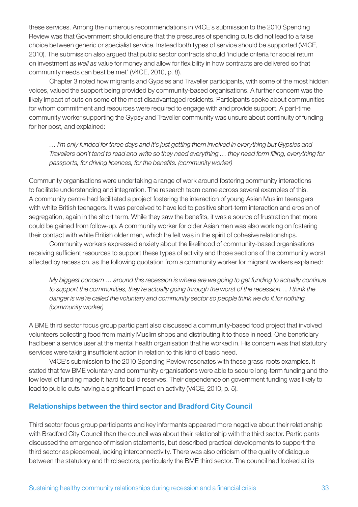these services. Among the numerous recommendations in V4CE's submission to the 2010 Spending Review was that Government should ensure that the pressures of spending cuts did not lead to a false choice between generic or specialist service. Instead both types of service should be supported (V4CE, 2010). The submission also argued that public sector contracts should 'include criteria for social return on investment *as well as* value for money and allow for flexibility in how contracts are delivered so that community needs can best be met' (V4CE, 2010, p. 8).

Chapter 3 noted how migrants and Gypsies and Traveller participants, with some of the most hidden voices, valued the support being provided by community-based organisations. A further concern was the likely impact of cuts on some of the most disadvantaged residents. Participants spoke about communities for whom commitment and resources were required to engage with and provide support. A part-time community worker supporting the Gypsy and Traveller community was unsure about continuity of funding for her post, and explained:

*… I'm only funded for three days and it's just getting them involved in everything but Gypsies and Travellers don't tend to read and write so they need everything … they need form filling, everything for passports, for driving licences, for the benefits. (community worker)*

Community organisations were undertaking a range of work around fostering community interactions to facilitate understanding and integration. The research team came across several examples of this. A community centre had facilitated a project fostering the interaction of young Asian Muslim teenagers with white British teenagers. It was perceived to have led to positive short-term interaction and erosion of segregation, again in the short term. While they saw the benefits, it was a source of frustration that more could be gained from follow-up. A community worker for older Asian men was also working on fostering their contact with white British older men, which he felt was in the spirit of cohesive relationships.

Community workers expressed anxiety about the likelihood of community-based organisations receiving sufficient resources to support these types of activity and those sections of the community worst affected by recession, as the following quotation from a community worker for migrant workers explained:

*My biggest concern … around this recession is where are we going to get funding to actually continue to support the communities, they're actually going through the worst of the recession…. I think the danger is we're called the voluntary and community sector so people think we do it for nothing. (community worker)*

A BME third sector focus group participant also discussed a community-based food project that involved volunteers collecting food from mainly Muslim shops and distributing it to those in need. One beneficiary had been a service user at the mental health organisation that he worked in. His concern was that statutory services were taking insufficient action in relation to this kind of basic need.

V4CE's submission to the 2010 Spending Review resonates with these grass-roots examples. It stated that few BME voluntary and community organisations were able to secure long-term funding and the low level of funding made it hard to build reserves. Their dependence on government funding was likely to lead to public cuts having a significant impact on activity (V4CE, 2010, p. 5).

#### Relationships between the third sector and Bradford City Council

Third sector focus group participants and key informants appeared more negative about their relationship with Bradford City Council than the council was about their relationship with the third sector. Participants discussed the emergence of mission statements, but described practical developments to support the third sector as piecemeal, lacking interconnectivity. There was also criticism of the quality of dialogue between the statutory and third sectors, particularly the BME third sector. The council had looked at its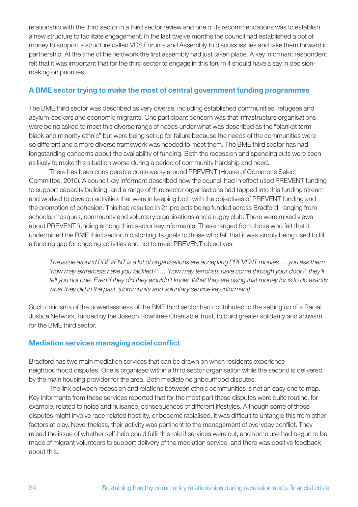relationship with the third sector in a third sector review and one of its recommendations was to establish a new structure to facilitate engagement. In the last twelve months the council had established a pot of money to support a structure called VCS Forums and Assembly to discuss issues and take them forward in partnership. At the time of the fieldwork the first assembly had just taken place. A key informant respondent felt that it was important that for the third sector to engage in this forum it should have a say in decisionmaking on priorities.

#### A BME sector trying to make the most of central government funding programmes

The BME third sector was described as very diverse, including established communities, refugees and asylum-seekers and economic migrants. One participant concern was that infrastructure organisations were being asked to meet this diverse range of needs under what was described as the "blanket term black and minority ethnic" but were being set up for failure because the needs of the communities were so different and a more diverse framework was needed to meet them. The BME third sector has had longstanding concerns about the availability of funding. Both the recession and spending cuts were seen as likely to make this situation worse during a period of community hardship and need.

There has been considerable controversy around PREVENT (House of Commons Select Committee, 2010). A council key informant described how the council had in effect used PREVENT funding to support capacity building, and a range of third sector organisations had tapped into this funding stream and worked to develop activities that were in keeping both with the objectives of PREVENT funding and the promotion of cohesion. This had resulted in 21 projects being funded across Bradford, ranging from schools, mosques, community and voluntary organisations and a rugby club. There were mixed views about PREVENT funding among third sector key informants. These ranged from those who felt that it undermined the BME third sector in distorting its goals to those who felt that it was simply being used to fill a funding gap for ongoing activities and not to meet PREVENT objectives:

*The issue around PREVENT is a lot of organisations are accepting PREVENT monies … you ask them 'how may extremists have you tackled?' … 'how may terrorists have come through your door?' they'll tell you not one. Even if they did they wouldn't know. What they are using that money for is to do exactly what they did in the past. (community and voluntary service key informant)*

Such criticisms of the powerlessness of the BME third sector had contributed to the setting up of a Racial Justice Network, funded by the Joseph Rowntree Charitable Trust, to build greater solidarity and activism for the BME third sector.

#### Mediation services managing social conflict

Bradford has two main mediation services that can be drawn on when residents experience neighbourhood disputes. One is organised within a third sector organisation while the second is delivered by the main housing provider for the area. Both mediate neighbourhood disputes.

The link between recession and relations between ethnic communities is not an easy one to map. Key informants from these services reported that for the most part these disputes were quite routine, for example, related to noise and nuisance, consequences of different lifestyles. Although some of these disputes might involve race-related hostility, or become racialised, it was difficult to untangle this from other factors at play. Nevertheless, their activity was pertinent to the management of everyday conflict. They raised the issue of whether self-help could fulfil this role if services were cut, and some use had begun to be made of migrant volunteers to support delivery of the mediation service, and there was positive feedback about this.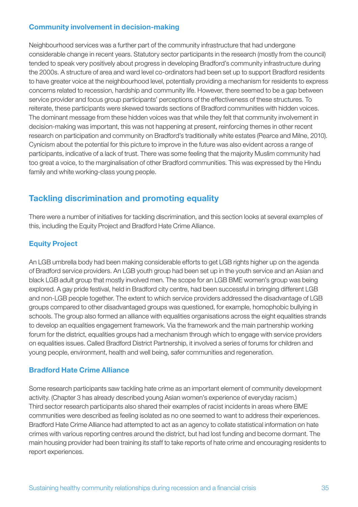#### Community involvement in decision-making

Neighbourhood services was a further part of the community infrastructure that had undergone considerable change in recent years. Statutory sector participants in the research (mostly from the council) tended to speak very positively about progress in developing Bradford's community infrastructure during the 2000s. A structure of area and ward level co-ordinators had been set up to support Bradford residents to have greater voice at the neighbourhood level, potentially providing a mechanism for residents to express concerns related to recession, hardship and community life. However, there seemed to be a gap between service provider and focus group participants' perceptions of the effectiveness of these structures. To reiterate, these participants were skewed towards sections of Bradford communities with hidden voices. The dominant message from these hidden voices was that while they felt that community involvement in decision-making was important, this was not happening at present, reinforcing themes in other recent research on participation and community on Bradford's traditionally white estates (Pearce and Milne, 2010). Cynicism about the potential for this picture to improve in the future was also evident across a range of participants, indicative of a lack of trust. There was some feeling that the majority Muslim community had too great a voice, to the marginalisation of other Bradford communities. This was expressed by the Hindu family and white working-class young people.

# Tackling discrimination and promoting equality

There were a number of initiatives for tackling discrimination, and this section looks at several examples of this, including the Equity Project and Bradford Hate Crime Alliance.

#### Equity Project

An LGB umbrella body had been making considerable efforts to get LGB rights higher up on the agenda of Bradford service providers. An LGB youth group had been set up in the youth service and an Asian and black LGB adult group that mostly involved men. The scope for an LGB BME women's group was being explored. A gay pride festival, held in Bradford city centre, had been successful in bringing different LGB and non-LGB people together. The extent to which service providers addressed the disadvantage of LGB groups compared to other disadvantaged groups was questioned, for example, homophobic bullying in schools. The group also formed an alliance with equalities organisations across the eight equalities strands to develop an equalities engagement framework. Via the framework and the main partnership working forum for the district, equalities groups had a mechanism through which to engage with service providers on equalities issues. Called Bradford District Partnership, it involved a series of forums for children and young people, environment, health and well being, safer communities and regeneration.

#### Bradford Hate Crime Alliance

Some research participants saw tackling hate crime as an important element of community development activity. (Chapter 3 has already described young Asian women's experience of everyday racism.) Third sector research participants also shared their examples of racist incidents in areas where BME communities were described as feeling isolated as no one seemed to want to address their experiences. Bradford Hate Crime Alliance had attempted to act as an agency to collate statistical information on hate crimes with various reporting centres around the district, but had lost funding and become dormant. The main housing provider had been training its staff to take reports of hate crime and encouraging residents to report experiences.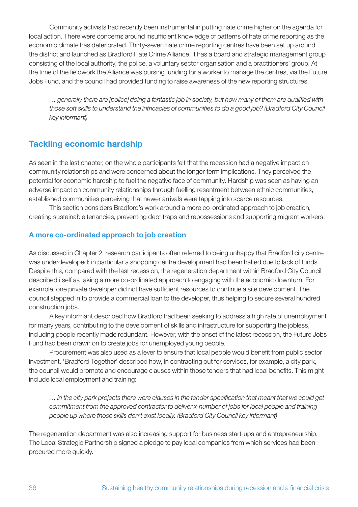Community activists had recently been instrumental in putting hate crime higher on the agenda for local action. There were concerns around insufficient knowledge of patterns of hate crime reporting as the economic climate has deteriorated. Thirty-seven hate crime reporting centres have been set up around the district and launched as Bradford Hate Crime Alliance. It has a board and strategic management group consisting of the local authority, the police, a voluntary sector organisation and a practitioners' group. At the time of the fieldwork the Alliance was pursing funding for a worker to manage the centres, via the Future Jobs Fund, and the council had provided funding to raise awareness of the new reporting structures.

*… generally there are [police] doing a fantastic job in society, but how many of them are qualified with those soft skills to understand the intricacies of communities to do a good job? (Bradford City Council key informant)*

# Tackling economic hardship

As seen in the last chapter, on the whole participants felt that the recession had a negative impact on community relationships and were concerned about the longer-term implications. They perceived the potential for economic hardship to fuel the negative face of community. Hardship was seen as having an adverse impact on community relationships through fuelling resentment between ethnic communities, established communities perceiving that newer arrivals were tapping into scarce resources.

This section considers Bradford's work around a more co-ordinated approach to job creation, creating sustainable tenancies, preventing debt traps and repossessions and supporting migrant workers.

#### A more co-ordinated approach to job creation

As discussed in Chapter 2, research participants often referred to being unhappy that Bradford city centre was underdeveloped; in particular a shopping centre development had been halted due to lack of funds. Despite this, compared with the last recession, the regeneration department within Bradford City Council described itself as taking a more co-ordinated approach to engaging with the economic downturn. For example, one private developer did not have sufficient resources to continue a site development. The council stepped in to provide a commercial loan to the developer, thus helping to secure several hundred construction jobs.

A key informant described how Bradford had been seeking to address a high rate of unemployment for many years, contributing to the development of skills and infrastructure for supporting the jobless, including people recently made redundant. However, with the onset of the latest recession, the Future Jobs Fund had been drawn on to create jobs for unemployed young people.

Procurement was also used as a lever to ensure that local people would benefit from public sector investment. 'Bradford Together' described how, in contracting out for services, for example, a city park, the council would promote and encourage clauses within those tenders that had local benefits. This might include local employment and training:

*… in the city park projects there were clauses in the tender specification that meant that we could get commitment from the approved contractor to deliver x-number of jobs for local people and training people up where those skills don't exist locally. (Bradford City Council key informant)*

The regeneration department was also increasing support for business start-ups and entrepreneurship. The Local Strategic Partnership signed a pledge to pay local companies from which services had been procured more quickly.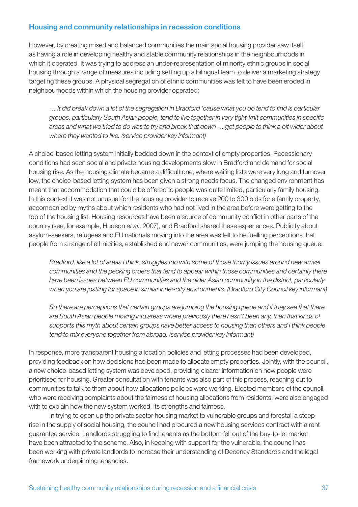#### Housing and community relationships in recession conditions

However, by creating mixed and balanced communities the main social housing provider saw itself as having a role in developing healthy and stable community relationships in the neighbourhoods in which it operated. It was trying to address an under-representation of minority ethnic groups in social housing through a range of measures including setting up a bilingual team to deliver a marketing strategy targeting these groups. A physical segregation of ethnic communities was felt to have been eroded in neighbourhoods within which the housing provider operated:

*… It did break down a lot of the segregation in Bradford 'cause what you do tend to find is particular groups, particularly South Asian people, tend to live together in very tight-knit communities in specific areas and what we tried to do was to try and break that down … get people to think a bit wider about where they wanted to live. (service provider key informant)*

A choice-based letting system initially bedded down in the context of empty properties. Recessionary conditions had seen social and private housing developments slow in Bradford and demand for social housing rise. As the housing climate became a difficult one, where waiting lists were very long and turnover low, the choice-based letting system has been given a strong needs focus. The changed environment has meant that accommodation that could be offered to people was quite limited, particularly family housing. In this context it was not unusual for the housing provider to receive 200 to 300 bids for a family property, accompanied by myths about which residents who had not lived in the area before were getting to the top of the housing list. Housing resources have been a source of community conflict in other parts of the country (see, for example, Hudson *et al*., 2007), and Bradford shared these experiences. Publicity about asylum-seekers, refugees and EU nationals moving into the area was felt to be fuelling perceptions that people from a range of ethnicities, established and newer communities, were jumping the housing queue:

*Bradford, like a lot of areas I think, struggles too with some of those thorny issues around new arrival communities and the pecking orders that tend to appear within those communities and certainly there have been issues between EU communities and the older Asian community in the district, particularly when you are jostling for space in similar inner-city environments. (Bradford City Council key informant)*

*So there are perceptions that certain groups are jumping the housing queue and if they see that there are South Asian people moving into areas where previously there hasn't been any, then that kinds of supports this myth about certain groups have better access to housing than others and I think people tend to mix everyone together from abroad. (service provider key informant)*

In response, more transparent housing allocation policies and letting processes had been developed, providing feedback on how decisions had been made to allocate empty properties. Jointly, with the council, a new choice-based letting system was developed, providing clearer information on how people were prioritised for housing. Greater consultation with tenants was also part of this process, reaching out to communities to talk to them about how allocations policies were working. Elected members of the council, who were receiving complaints about the fairness of housing allocations from residents, were also engaged with to explain how the new system worked, its strengths and fairness.

In trying to open up the private sector housing market to vulnerable groups and forestall a steep rise in the supply of social housing, the council had procured a new housing services contract with a rent guarantee service. Landlords struggling to find tenants as the bottom fell out of the buy-to-let market have been attracted to the scheme. Also, in keeping with support for the vulnerable, the council has been working with private landlords to increase their understanding of Decency Standards and the legal framework underpinning tenancies.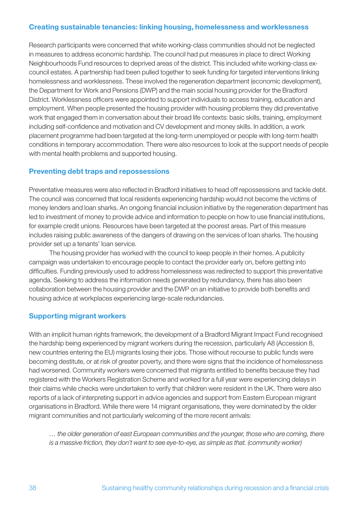#### Creating sustainable tenancies: linking housing, homelessness and worklessness

Research participants were concerned that white working-class communities should not be neglected in measures to address economic hardship. The council had put measures in place to direct Working Neighbourhoods Fund resources to deprived areas of the district. This included white working-class excouncil estates. A partnership had been pulled together to seek funding for targeted interventions linking homelessness and worklessness. These involved the regeneration department (economic development), the Department for Work and Pensions (DWP) and the main social housing provider for the Bradford District. Worklessness officers were appointed to support individuals to access training, education and employment. When people presented the housing provider with housing problems they did preventative work that engaged them in conversation about their broad life contexts: basic skills, training, employment including self-confidence and motivation and CV development and money skills. In addition, a work placement programme had been targeted at the long-term unemployed or people with long-term health conditions in temporary accommodation. There were also resources to look at the support needs of people with mental health problems and supported housing.

#### Preventing debt traps and repossessions

Preventative measures were also reflected in Bradford initiatives to head off repossessions and tackle debt. The council was concerned that local residents experiencing hardship would not become the victims of money lenders and loan sharks. An ongoing financial inclusion initiative by the regeneration department has led to investment of money to provide advice and information to people on how to use financial institutions, for example credit unions. Resources have been targeted at the poorest areas. Part of this measure includes raising public awareness of the dangers of drawing on the services of loan sharks. The housing provider set up a tenants' loan service.

The housing provider has worked with the council to keep people in their homes. A publicity campaign was undertaken to encourage people to contact the provider early on, before getting into difficulties. Funding previously used to address homelessness was redirected to support this preventative agenda. Seeking to address the information needs generated by redundancy, there has also been collaboration between the housing provider and the DWP on an initiative to provide both benefits and housing advice at workplaces experiencing large-scale redundancies.

#### Supporting migrant workers

With an implicit human rights framework, the development of a Bradford Migrant Impact Fund recognised the hardship being experienced by migrant workers during the recession, particularly A8 (Accession 8, new countries entering the EU) migrants losing their jobs. Those without recourse to public funds were becoming destitute, or at risk of greater poverty, and there were signs that the incidence of homelessness had worsened. Community workers were concerned that migrants entitled to benefits because they had registered with the Workers Registration Scheme and worked for a full year were experiencing delays in their claims while checks were undertaken to verify that children were resident in the UK. There were also reports of a lack of interpreting support in advice agencies and support from Eastern European migrant organisations in Bradford. While there were 14 migrant organisations, they were dominated by the older migrant communities and not particularly welcoming of the more recent arrivals:

*… the older generation of east European communities and the younger, those who are coming, there is a massive friction, they don't want to see eye-to-eye, as simple as that. (community worker)*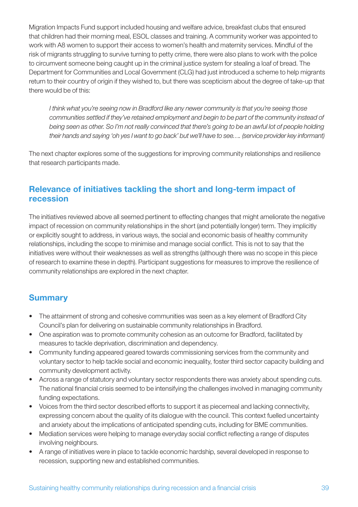Migration Impacts Fund support included housing and welfare advice, breakfast clubs that ensured that children had their morning meal, ESOL classes and training. A community worker was appointed to work with A8 women to support their access to women's health and maternity services. Mindful of the risk of migrants struggling to survive turning to petty crime, there were also plans to work with the police to circumvent someone being caught up in the criminal justice system for stealing a loaf of bread. The Department for Communities and Local Government (CLG) had just introduced a scheme to help migrants return to their country of origin if they wished to, but there was scepticism about the degree of take-up that there would be of this:

*I think what you're seeing now in Bradford like any newer community is that you're seeing those communities settled if they've retained employment and begin to be part of the community instead of being seen as other. So I'm not really convinced that there's going to be an awful lot of people holding their hands and saying 'oh yes I want to go back' but we'll have to see…. (service provider key informant)*

The next chapter explores some of the suggestions for improving community relationships and resilience that research participants made.

# Relevance of initiatives tackling the short and long-term impact of recession

The initiatives reviewed above all seemed pertinent to effecting changes that might ameliorate the negative impact of recession on community relationships in the short (and potentially longer) term. They implicitly or explicitly sought to address, in various ways, the social and economic basis of healthy community relationships, including the scope to minimise and manage social conflict. This is not to say that the initiatives were without their weaknesses as well as strengths (although there was no scope in this piece of research to examine these in depth). Participant suggestions for measures to improve the resilience of community relationships are explored in the next chapter.

# **Summary**

- The attainment of strong and cohesive communities was seen as a key element of Bradford City Council's plan for delivering on sustainable community relationships in Bradford.
- One aspiration was to promote community cohesion as an outcome for Bradford, facilitated by measures to tackle deprivation, discrimination and dependency.
- Community funding appeared geared towards commissioning services from the community and voluntary sector to help tackle social and economic inequality, foster third sector capacity building and community development activity.
- Across a range of statutory and voluntary sector respondents there was anxiety about spending cuts. The national financial crisis seemed to be intensifying the challenges involved in managing community funding expectations.
- Voices from the third sector described efforts to support it as piecemeal and lacking connectivity, expressing concern about the quality of its dialogue with the council. This context fuelled uncertainty and anxiety about the implications of anticipated spending cuts, including for BME communities.
- Mediation services were helping to manage everyday social conflict reflecting a range of disputes involving neighbours.
- A range of initiatives were in place to tackle economic hardship, several developed in response to recession, supporting new and established communities.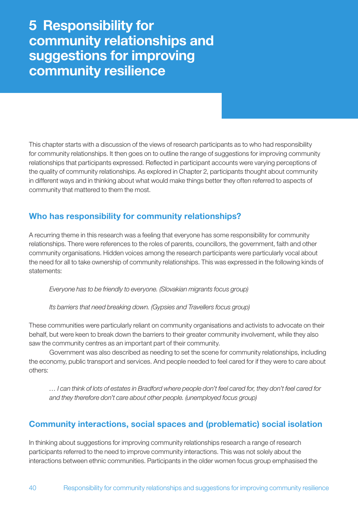# 5 Responsibility for community relationships and suggestions for improving community resilience

This chapter starts with a discussion of the views of research participants as to who had responsibility for community relationships. It then goes on to outline the range of suggestions for improving community relationships that participants expressed. Reflected in participant accounts were varying perceptions of the quality of community relationships. As explored in Chapter 2, participants thought about community in different ways and in thinking about what would make things better they often referred to aspects of community that mattered to them the most.

# Who has responsibility for community relationships?

A recurring theme in this research was a feeling that everyone has some responsibility for community relationships. There were references to the roles of parents, councillors, the government, faith and other community organisations. Hidden voices among the research participants were particularly vocal about the need for all to take ownership of community relationships. This was expressed in the following kinds of statements:

*Everyone has to be friendly to everyone. (Slovakian migrants focus group)*

*Its barriers that need breaking down. (Gypsies and Travellers focus group)*

These communities were particularly reliant on community organisations and activists to advocate on their behalf, but were keen to break down the barriers to their greater community involvement, while they also saw the community centres as an important part of their community.

Government was also described as needing to set the scene for community relationships, including the economy, public transport and services. And people needed to feel cared for if they were to care about others:

*… I can think of lots of estates in Bradford where people don't feel cared for, they don't feel cared for and they therefore don't care about other people. (unemployed focus group)*

# Community interactions, social spaces and (problematic) social isolation

In thinking about suggestions for improving community relationships research a range of research participants referred to the need to improve community interactions. This was not solely about the interactions between ethnic communities. Participants in the older women focus group emphasised the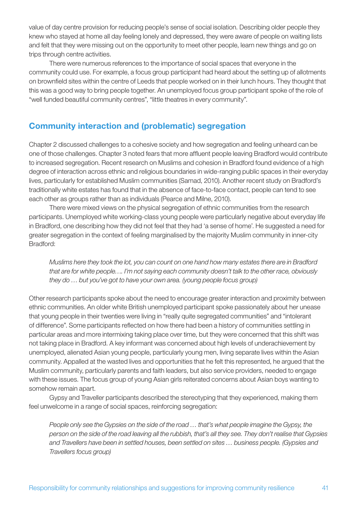value of day centre provision for reducing people's sense of social isolation. Describing older people they knew who stayed at home all day feeling lonely and depressed, they were aware of people on waiting lists and felt that they were missing out on the opportunity to meet other people, learn new things and go on trips through centre activities.

There were numerous references to the importance of social spaces that everyone in the community could use. For example, a focus group participant had heard about the setting up of allotments on brownfield sites within the centre of Leeds that people worked on in their lunch hours. They thought that this was a good way to bring people together. An unemployed focus group participant spoke of the role of "well funded beautiful community centres", "little theatres in every community".

# Community interaction and (problematic) segregation

Chapter 2 discussed challenges to a cohesive society and how segregation and feeling unheard can be one of those challenges. Chapter 3 noted fears that more affluent people leaving Bradford would contribute to increased segregation. Recent research on Muslims and cohesion in Bradford found evidence of a high degree of interaction across ethnic and religious boundaries in wide-ranging public spaces in their everyday lives, particularly for established Muslim communities (Samad, 2010). Another recent study on Bradford's traditionally white estates has found that in the absence of face-to-face contact, people can tend to see each other as groups rather than as individuals (Pearce and Milne, 2010).

There were mixed views on the physical segregation of ethnic communities from the research participants. Unemployed white working-class young people were particularly negative about everyday life in Bradford, one describing how they did not feel that they had 'a sense of home'. He suggested a need for greater segregation in the context of feeling marginalised by the majority Muslim community in inner-city Bradford:

*Muslims here they took the lot, you can count on one hand how many estates there are in Bradford that are for white people…. I'm not saying each community doesn't talk to the other race, obviously they do … but you've got to have your own area. (young people focus group)*

Other research participants spoke about the need to encourage greater interaction and proximity between ethnic communities. An older white British unemployed participant spoke passionately about her unease that young people in their twenties were living in "really quite segregated communities" and "intolerant of difference". Some participants reflected on how there had been a history of communities settling in particular areas and more intermixing taking place over time, but they were concerned that this shift was not taking place in Bradford. A key informant was concerned about high levels of underachievement by unemployed, alienated Asian young people, particularly young men, living separate lives within the Asian community. Appalled at the wasted lives and opportunities that he felt this represented, he argued that the Muslim community, particularly parents and faith leaders, but also service providers, needed to engage with these issues. The focus group of young Asian girls reiterated concerns about Asian boys wanting to somehow remain apart.

Gypsy and Traveller participants described the stereotyping that they experienced, making them feel unwelcome in a range of social spaces, reinforcing segregation:

*People only see the Gypsies on the side of the road … that's what people imagine the Gypsy, the person on the side of the road leaving all the rubbish, that's all they see. They don't realise that Gypsies and Travellers have been in settled houses, been settled on sites … business people. (Gypsies and Travellers focus group)*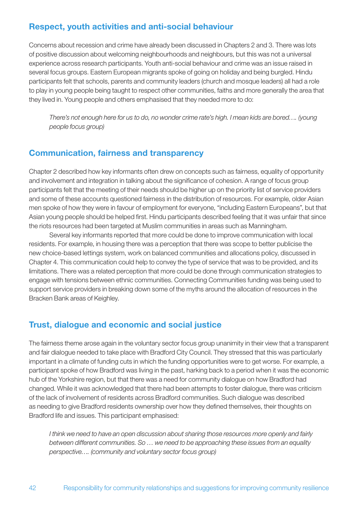# Respect, youth activities and anti-social behaviour

Concerns about recession and crime have already been discussed in Chapters 2 and 3. There was lots of positive discussion about welcoming neighbourhoods and neighbours, but this was not a universal experience across research participants. Youth anti-social behaviour and crime was an issue raised in several focus groups. Eastern European migrants spoke of going on holiday and being burgled. Hindu participants felt that schools, parents and community leaders (church and mosque leaders) all had a role to play in young people being taught to respect other communities, faiths and more generally the area that they lived in. Young people and others emphasised that they needed more to do:

*There's not enough here for us to do, no wonder crime rate's high. I mean kids are bored…. (young people focus group)*

### Communication, fairness and transparency

Chapter 2 described how key informants often drew on concepts such as fairness, equality of opportunity and involvement and integration in talking about the significance of cohesion. A range of focus group participants felt that the meeting of their needs should be higher up on the priority list of service providers and some of these accounts questioned fairness in the distribution of resources. For example, older Asian men spoke of how they were in favour of employment for everyone, "including Eastern Europeans", but that Asian young people should be helped first. Hindu participants described feeling that it was unfair that since the riots resources had been targeted at Muslim communities in areas such as Manningham.

Several key informants reported that more could be done to improve communication with local residents. For example, in housing there was a perception that there was scope to better publicise the new choice-based lettings system, work on balanced communities and allocations policy, discussed in Chapter 4. This communication could help to convey the type of service that was to be provided, and its limitations. There was a related perception that more could be done through communication strategies to engage with tensions between ethnic communities. Connecting Communities funding was being used to support service providers in breaking down some of the myths around the allocation of resources in the Bracken Bank areas of Keighley.

# Trust, dialogue and economic and social justice

The fairness theme arose again in the voluntary sector focus group unanimity in their view that a transparent and fair dialogue needed to take place with Bradford City Council. They stressed that this was particularly important in a climate of funding cuts in which the funding opportunities were to get worse. For example, a participant spoke of how Bradford was living in the past, harking back to a period when it was the economic hub of the Yorkshire region, but that there was a need for community dialogue on how Bradford had changed. While it was acknowledged that there had been attempts to foster dialogue, there was criticism of the lack of involvement of residents across Bradford communities. Such dialogue was described as needing to give Bradford residents ownership over how they defined themselves, their thoughts on Bradford life and issues. This participant emphasised:

*I think we need to have an open discussion about sharing those resources more openly and fairly between different communities. So … we need to be approaching these issues from an equality perspective…. (community and voluntary sector focus group)*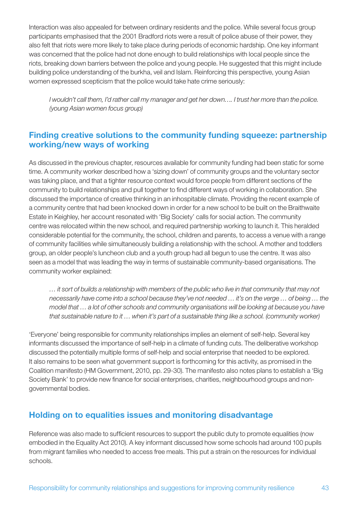Interaction was also appealed for between ordinary residents and the police. While several focus group participants emphasised that the 2001 Bradford riots were a result of police abuse of their power, they also felt that riots were more likely to take place during periods of economic hardship. One key informant was concerned that the police had not done enough to build relationships with local people since the riots, breaking down barriers between the police and young people. He suggested that this might include building police understanding of the burkha, veil and Islam. Reinforcing this perspective, young Asian women expressed scepticism that the police would take hate crime seriously:

*I wouldn't call them, I'd rather call my manager and get her down…. I trust her more than the police. (young Asian women focus group)*

# Finding creative solutions to the community funding squeeze: partnership working/new ways of working

As discussed in the previous chapter, resources available for community funding had been static for some time. A community worker described how a 'sizing down' of community groups and the voluntary sector was taking place, and that a tighter resource context would force people from different sections of the community to build relationships and pull together to find different ways of working in collaboration. She discussed the importance of creative thinking in an inhospitable climate. Providing the recent example of a community centre that had been knocked down in order for a new school to be built on the Braithwaite Estate in Keighley, her account resonated with 'Big Society' calls for social action. The community centre was relocated within the new school, and required partnership working to launch it. This heralded considerable potential for the community, the school, children and parents, to access a venue with a range of community facilities while simultaneously building a relationship with the school. A mother and toddlers group, an older people's luncheon club and a youth group had all begun to use the centre. It was also seen as a model that was leading the way in terms of sustainable community-based organisations. The community worker explained:

*… it sort of builds a relationship with members of the public who live in that community that may not necessarily have come into a school because they've not needed … it's on the verge … of being … the model that … a lot of other schools and community organisations will be looking at because you have that sustainable nature to it … when it's part of a sustainable thing like a school. (community worker)*

'Everyone' being responsible for community relationships implies an element of self-help. Several key informants discussed the importance of self-help in a climate of funding cuts. The deliberative workshop discussed the potentially multiple forms of self-help and social enterprise that needed to be explored. It also remains to be seen what government support is forthcoming for this activity, as promised in the Coalition manifesto (HM Government, 2010, pp. 29-30). The manifesto also notes plans to establish a 'Big Society Bank' to provide new finance for social enterprises, charities, neighbourhood groups and nongovernmental bodies.

# Holding on to equalities issues and monitoring disadvantage

Reference was also made to sufficient resources to support the public duty to promote equalities (now embodied in the Equality Act 2010). A key informant discussed how some schools had around 100 pupils from migrant families who needed to access free meals. This put a strain on the resources for individual schools.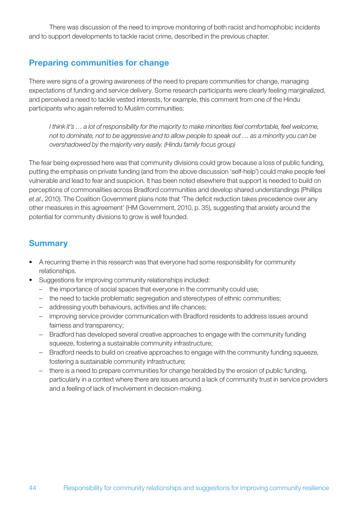There was discussion of the need to improve monitoring of both racist and homophobic incidents and to support developments to tackle racist crime, described in the previous chapter.

# Preparing communities for change

There were signs of a growing awareness of the need to prepare communities for change, managing expectations of funding and service delivery. Some research participants were clearly feeling marginalized, and perceived a need to tackle vested interests, for example, this comment from one of the Hindu participants who again referred to Muslim communities:

*I think it's … a lot of responsibility for the majority to make minorities feel comfortable, feel welcome, not to dominate, not to be aggressive and to allow people to speak out … as a minority you can be overshadowed by the majority very easily. (Hindu family focus group)*

The fear being expressed here was that community divisions could grow because a loss of public funding, putting the emphasis on private funding (and from the above discussion 'self-help') could make people feel vulnerable and lead to fear and suspicion. It has been noted elsewhere that support is needed to build on perceptions of commonalities across Bradford communities and develop shared understandings (Phillips *et al*., 2010). The Coalition Government plans note that 'The deficit reduction takes precedence over any other measures in this agreement' (HM Government, 2010, p. 35), suggesting that anxiety around the potential for community divisions to grow is well founded.

# **Summary**

- A recurring theme in this research was that everyone had some responsibility for community relationships.
- Suggestions for improving community relationships included:
	- the importance of social spaces that everyone in the community could use;
	- the need to tackle problematic segregation and stereotypes of ethnic communities;
	- addressing youth behaviours, activities and life chances;
	- improving service provider communication with Bradford residents to address issues around fairness and transparency;
	- Bradford has developed several creative approaches to engage with the community funding squeeze, fostering a sustainable community infrastructure;
	- Bradford needs to build on creative approaches to engage with the community funding squeeze, fostering a sustainable community infrastructure;
	- there is a need to prepare communities for change heralded by the erosion of public funding, particularly in a context where there are issues around a lack of community trust in service providers and a feeling of lack of involvement in decision-making.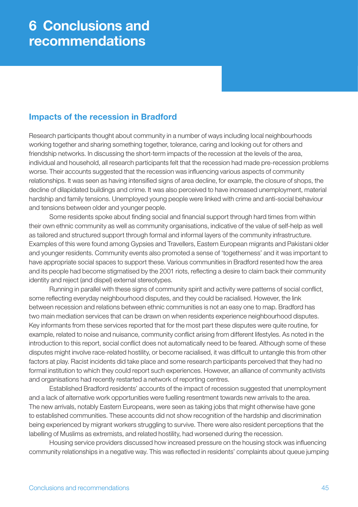# Impacts of the recession in Bradford

Research participants thought about community in a number of ways including local neighbourhoods working together and sharing something together, tolerance, caring and looking out for others and friendship networks. In discussing the short-term impacts of the recession at the levels of the area, individual and household, all research participants felt that the recession had made pre-recession problems worse. Their accounts suggested that the recession was influencing various aspects of community relationships. It was seen as having intensified signs of area decline, for example, the closure of shops, the decline of dilapidated buildings and crime. It was also perceived to have increased unemployment, material hardship and family tensions. Unemployed young people were linked with crime and anti-social behaviour and tensions between older and younger people.

Some residents spoke about finding social and financial support through hard times from within their own ethnic community as well as community organisations, indicative of the value of self-help as well as tailored and structured support through formal and informal layers of the community infrastructure. Examples of this were found among Gypsies and Travellers, Eastern European migrants and Pakistani older and younger residents. Community events also promoted a sense of 'togetherness' and it was important to have appropriate social spaces to support these. Various communities in Bradford resented how the area and its people had become stigmatised by the 2001 riots, reflecting a desire to claim back their community identity and reject (and dispel) external stereotypes.

Running in parallel with these signs of community spirit and activity were patterns of social conflict, some reflecting everyday neighbourhood disputes, and they could be racialised. However, the link between recession and relations between ethnic communities is not an easy one to map. Bradford has two main mediation services that can be drawn on when residents experience neighbourhood disputes. Key informants from these services reported that for the most part these disputes were quite routine, for example, related to noise and nuisance, community conflict arising from different lifestyles. As noted in the introduction to this report, social conflict does not automatically need to be feared. Although some of these disputes might involve race-related hostility, or become racialised, it was difficult to untangle this from other factors at play. Racist incidents did take place and some research participants perceived that they had no formal institution to which they could report such experiences. However, an alliance of community activists and organisations had recently restarted a network of reporting centres.

Established Bradford residents' accounts of the impact of recession suggested that unemployment and a lack of alternative work opportunities were fuelling resentment towards new arrivals to the area. The new arrivals, notably Eastern Europeans, were seen as taking jobs that might otherwise have gone to established communities. These accounts did not show recognition of the hardship and discrimination being experienced by migrant workers struggling to survive. There were also resident perceptions that the labelling of Muslims as extremists, and related hostility, had worsened during the recession.

Housing service providers discussed how increased pressure on the housing stock was influencing community relationships in a negative way. This was reflected in residents' complaints about queue jumping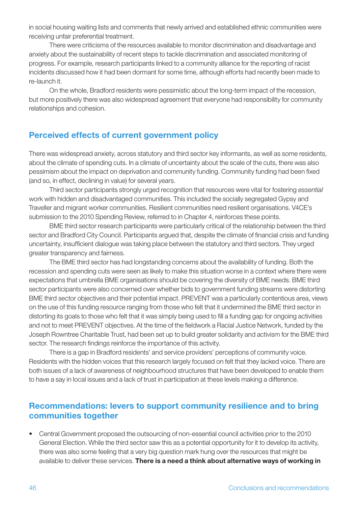in social housing waiting lists and comments that newly arrived and established ethnic communities were receiving unfair preferential treatment.

There were criticisms of the resources available to monitor discrimination and disadvantage and anxiety about the sustainability of recent steps to tackle discrimination and associated monitoring of progress. For example, research participants linked to a community alliance for the reporting of racist incidents discussed how it had been dormant for some time, although efforts had recently been made to re-launch it.

On the whole, Bradford residents were pessimistic about the long-term impact of the recession, but more positively there was also widespread agreement that everyone had responsibility for community relationships and cohesion.

# Perceived effects of current government policy

There was widespread anxiety, across statutory and third sector key informants, as well as some residents, about the climate of spending cuts. In a climate of uncertainty about the scale of the cuts, there was also pessimism about the impact on deprivation and community funding. Community funding had been fixed (and so, in effect, declining in value) for several years.

Third sector participants strongly urged recognition that resources were vital for fostering *essential* work with hidden and disadvantaged communities. This included the socially segregated Gypsy and Traveller and migrant worker communities. Resilient communities need resilient organisations. V4CE's submission to the 2010 Spending Review, referred to in Chapter 4, reinforces these points.

BME third sector research participants were particularly critical of the relationship between the third sector and Bradford City Council. Participants argued that, despite the climate of financial crisis and funding uncertainty, insufficient dialogue was taking place between the statutory and third sectors. They urged greater transparency and fairness.

The BME third sector has had longstanding concerns about the availability of funding. Both the recession and spending cuts were seen as likely to make this situation worse in a context where there were expectations that umbrella BME organisations should be covering the diversity of BME needs. BME third sector participants were also concerned over whether bids to government funding streams were distorting BME third sector objectives and their potential impact. PREVENT was a particularly contentious area, views on the use of this funding resource ranging from those who felt that it undermined the BME third sector in distorting its goals to those who felt that it was simply being used to fill a funding gap for ongoing activities and not to meet PREVENT objectives. At the time of the fieldwork a Racial Justice Network, funded by the Joseph Rowntree Charitable Trust, had been set up to build greater solidarity and activism for the BME third sector. The research findings reinforce the importance of this activity.

There is a gap in Bradford residents' and service providers' perceptions of community voice. Residents with the hidden voices that this research largely focused on felt that they lacked voice. There are both issues of a lack of awareness of neighbourhood structures that have been developed to enable them to have a say in local issues and a lack of trust in participation at these levels making a difference.

# Recommendations: levers to support community resilience and to bring communities together

• Central Government proposed the outsourcing of non-essential council activities prior to the 2010 General Election. While the third sector saw this as a potential opportunity for it to develop its activity, there was also some feeling that a very big question mark hung over the resources that might be available to deliver these services. There is a need a think about alternative ways of working in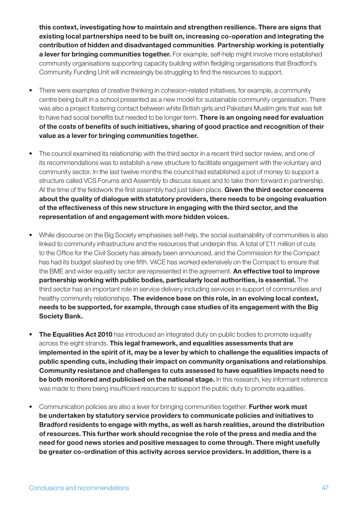this context, investigating how to maintain and strengthen resilience. There are signs that existing local partnerships need to be built on, increasing co-operation and integrating the contribution of hidden and disadvantaged communities. Partnership working is potentially a lever for bringing communities together. For example, self-help might involve more established community organisations supporting capacity building within fledgling organisations that Bradford's Community Funding Unit will increasingly be struggling to find the resources to support.

- There were examples of creative thinking in cohesion-related initiatives, for example, a community centre being built in a school presented as a new model for sustainable community organisation. There was also a project fostering contact between white British girls and Pakistani Muslim girls that was felt to have had social benefits but needed to be longer term. There is an ongoing need for evaluation of the costs of benefits of such initiatives, sharing of good practice and recognition of their value as a lever for bringing communities together.
- The council examined its relationship with the third sector in a recent third sector review, and one of its recommendations was to establish a new structure to facilitate engagement with the voluntary and community sector. In the last twelve months the council had established a pot of money to support a structure called VCS Forums and Assembly to discuss issues and to take them forward in partnership. At the time of the fieldwork the first assembly had just taken place. Given the third sector concerns about the quality of dialogue with statutory providers, there needs to be ongoing evaluation of the effectiveness of this new structure in engaging with the third sector, and the representation of and engagement with more hidden voices.
- While discourse on the Big Society emphasises self-help, the social sustainability of communities is also linked to community infrastructure and the resources that underpin this. A total of £11 million of cuts to the Office for the Civil Society has already been announced, and the Commission for the Compact has had its budget slashed by one fifth. V4CE has worked extensively on the Compact to ensure that the BME and wider equality sector are represented in the agreement. An effective tool to improve partnership working with public bodies, particularly local authorities, is essential. The third sector has an important role in service delivery including services in support of communities and healthy community relationships. The evidence base on this role, in an evolving local context, needs to be supported, for example, through case studies of its engagement with the Big Society Bank.
- **The Equalities Act 2010** has introduced an integrated duty on public bodies to promote equality across the eight strands. This legal framework, and equalities assessments that are implemented in the spirit of it, may be a lever by which to challenge the equalities impacts of public spending cuts, including their impact on community organisations and relationships. Community resistance and challenges to cuts assessed to have equalities impacts need to be both monitored and publicised on the national stage. In this research, key informant reference was made to there being insufficient resources to support the public duty to promote equalities.
- Communication policies are also a lever for bringing communities together. Further work must be undertaken by statutory service providers to communicate policies and initiatives to Bradford residents to engage with myths, as well as harsh realities, around the distribution of resources. This further work should recognise the role of the press and media and the need for good news stories and positive messages to come through. There might usefully be greater co-ordination of this activity across service providers. In addition, there is a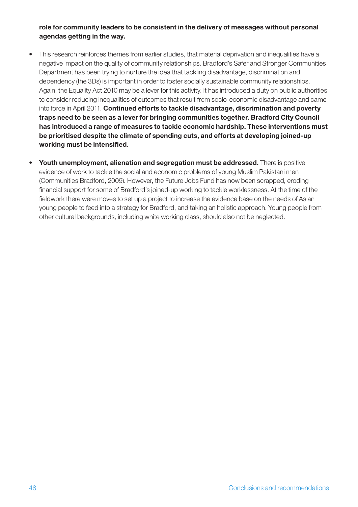#### role for community leaders to be consistent in the delivery of messages without personal agendas getting in the way.

- This research reinforces themes from earlier studies, that material deprivation and inequalities have a negative impact on the quality of community relationships. Bradford's Safer and Stronger Communities Department has been trying to nurture the idea that tackling disadvantage, discrimination and dependency (the 3Ds) is important in order to foster socially sustainable community relationships. Again, the Equality Act 2010 may be a lever for this activity. It has introduced a duty on public authorities to consider reducing inequalities of outcomes that result from socio-economic disadvantage and came into force in April 2011. Continued efforts to tackle disadvantage, discrimination and poverty traps need to be seen as a lever for bringing communities together. Bradford City Council has introduced a range of measures to tackle economic hardship. These interventions must be prioritised despite the climate of spending cuts, and efforts at developing joined-up working must be intensified.
- Youth unemployment, alienation and segregation must be addressed. There is positive evidence of work to tackle the social and economic problems of young Muslim Pakistani men (Communities Bradford, 2009). However, the Future Jobs Fund has now been scrapped, eroding financial support for some of Bradford's joined-up working to tackle worklessness. At the time of the fieldwork there were moves to set up a project to increase the evidence base on the needs of Asian young people to feed into a strategy for Bradford, and taking an holistic approach. Young people from other cultural backgrounds, including white working class, should also not be neglected.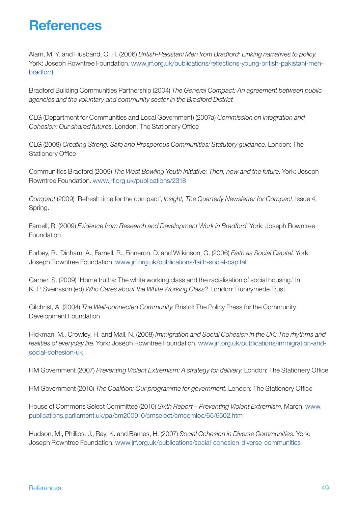# **References**

Alam, M. Y. and Husband, C. H. (2006) *British-Pakistani Men from Bradford: Linking narratives to policy*. York: Joseph Rowntree Foundation. www.jrf.org.uk/publications/reflections-young-british-pakistani-menbradford

Bradford Building Communities Partnership (2004) *The General Compact: An agreement between public agencies and the voluntary and community sector in the Bradford District*

CLG (Department for Communities and Local Government) (2007a) *Commission on Integration and Cohesion: Our shared futures*. London: The Stationery Office

CLG (2008) *Creating Strong, Safe and Prosperous Communities: Statutory guidance*. London: The Stationery Office

Communities Bradford (2009) *The West Bowling Youth Initiative: Then, now and the future*. York: Joseph Rowntree Foundation. www.jrf.org.uk/publications/2318

*Compact* (2009) 'Refresh time for the compact', *Insight, The Quarterly Newsletter for Compact*, Issue 4, Spring.

Farnell, R. (2009) *Evidence from Research and Development Work in Bradford*. York: Joseph Rowntree Foundation

Furbey, R., Dinham, A., Farnell, R., Finneron, D. and Wilkinson, G. (2006) *Faith as Social Capital*. York: Joseph Rowntree Foundation. www.jrf.org.uk/publications/faith-social-capital

Garner, S. (2009) 'Home truths: The white working class and the racialisation of social housing.' In K. P. Sveinsson (ed) *Who Cares about the White Working Class?*. London: Runnymede Trust

Gilchrist, A. (2004) *The Well-connected Community*. Bristol: The Policy Press for the Community Development Foundation

Hickman, M., Crowley, H. and Mail, N. (2008) *Immigration and Social Cohesion in the UK: The rhythms and realities of everyday life*. York: Joseph Rowntree Foundation. www.jrf.org.uk/publications/immigration-andsocial-cohesion-uk

HM Government (2007) *Preventing Violent Extremism: A strategy for delivery*. London: The Stationery Office

HM Government (2010) *The Coalition: Our programme for government*. London: The Stationery Office

House of Commons Select Committee (2010) *Sixth Report – Preventing Violent Extremism*. March. www. publications.parliament.uk/pa/cm200910/cmselect/cmcomloc/65/6502.htm

Hudson, M., Phillips, J., Ray, K. and Barnes, H. (2007) *Social Cohesion in Diverse Communities*. York: Joseph Rowntree Foundation. www.jrf.org.uk/publications/social-cohesion-diverse-communities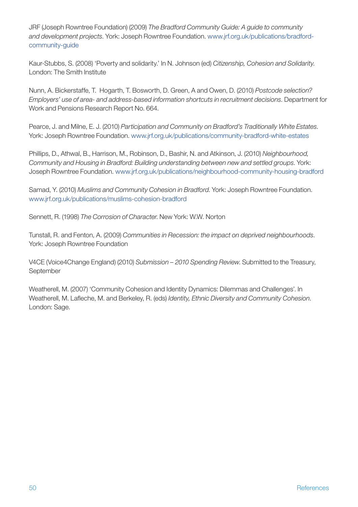JRF (Joseph Rowntree Foundation) (2009) *The Bradford Community Guide: A guide to community and development projects*. York: Joseph Rowntree Foundation. www.jrf.org.uk/publications/bradfordcommunity-guide

Kaur-Stubbs, S. (2008) 'Poverty and solidarity.' In N. Johnson (ed) *Citizenship, Cohesion and Solidarity*. London: The Smith Institute

Nunn, A. Bickerstaffe, T. Hogarth, T. Bosworth, D. Green, A and Owen, D. (2010) *Postcode selection? Employers' use of area- and address-based information shortcuts in recruitment decisions*. Department for Work and Pensions Research Report No. 664.

Pearce, J. and Milne, E. J. (2010) *Participation and Community on Bradford's Traditionally White Estates*. York: Joseph Rowntree Foundation. www.jrf.org.uk/publications/community-bradford-white-estates

Phillips, D., Athwal, B., Harrison, M., Robinson, D., Bashir, N. and Atkinson, J. (2010) *Neighbourhood, Community and Housing in Bradford: Building understanding between new and settled groups*. York: Joseph Rowntree Foundation. www.jrf.org.uk/publications/neighbourhood-community-housing-bradford

Samad, Y. (2010) *Muslims and Community Cohesion in Bradford*. York: Joseph Rowntree Foundation. www.jrf.org.uk/publications/muslims-cohesion-bradford

Sennett, R. (1998) *The Corrosion of Character*. New York: W.W. Norton

Tunstall, R. and Fenton, A. (2009) *Communities in Recession: the impact on deprived neighbourhoods*. York: Joseph Rowntree Foundation

V4CE (Voice4Change England) (2010) *Submission – 2010 Spending Review*. Submitted to the Treasury, September

Weatherell, M. (2007) 'Community Cohesion and Identity Dynamics: Dilemmas and Challenges'. In Weatherell, M. Lafleche, M. and Berkeley, R. (eds) *Identity, Ethnic Diversity and Community Cohesion*. London: Sage.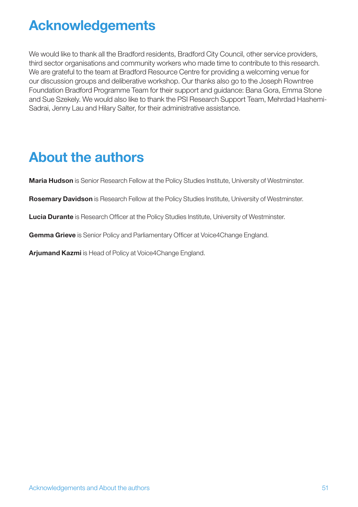# Acknowledgements

We would like to thank all the Bradford residents, Bradford City Council, other service providers, third sector organisations and community workers who made time to contribute to this research. We are grateful to the team at Bradford Resource Centre for providing a welcoming venue for our discussion groups and deliberative workshop. Our thanks also go to the Joseph Rowntree Foundation Bradford Programme Team for their support and guidance: Bana Gora, Emma Stone and Sue Szekely. We would also like to thank the PSI Research Support Team, Mehrdad Hashemi-Sadrai, Jenny Lau and Hilary Salter, for their administrative assistance.

# About the authors

Maria Hudson is Senior Research Fellow at the Policy Studies Institute, University of Westminster.

Rosemary Davidson is Research Fellow at the Policy Studies Institute, University of Westminster.

Lucia Durante is Research Officer at the Policy Studies Institute, University of Westminster.

Gemma Grieve is Senior Policy and Parliamentary Officer at Voice4Change England.

Arjumand Kazmi is Head of Policy at Voice4Change England.